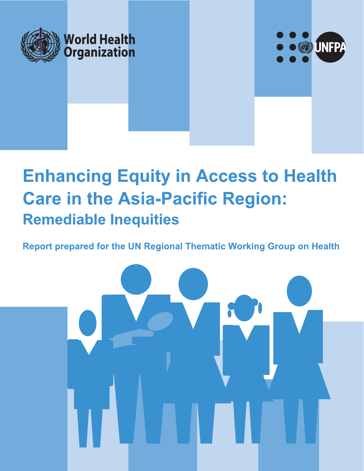



# **Enhancing Equity in Access to Health Care in the Asia-Pacific Region: Remediable Inequities**

**Report prepared for the UN Regional Thematic Working Group on Health** 

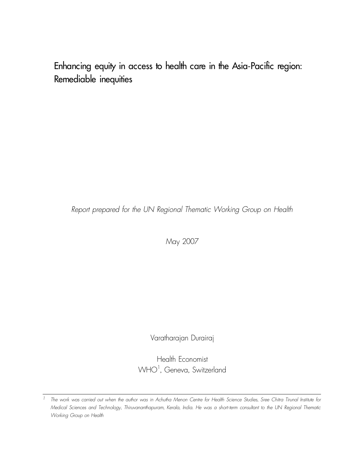**Enhancing equity in access to health care in the Asia-Pacific region: Remediable inequities**

*Report prepared for the UN Regional Thematic Working Group on Health*

May 2007

Varatharajan Durairaj

Health Economist WHO<sup>1</sup>, Geneva, Switzerland

*<sup>1</sup> The work was carried out when the author was in Achutha Menon Centre for Health Science Studies, Sree Chitra Tirunal Institute for Medical Sciences and Technology, Thiruvananthapuram, Kerala, India. He was a short-term consultant to the UN Regional Thematic Working Group on Health*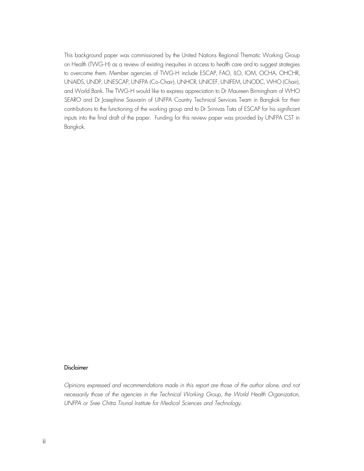This background paper was commissioned by the United Nations Regional Thematic Working Group on Health (TWG-H) as a review of existing inequities in access to health care and to suggest strategies to overcome them. Member agencies of TWG-H include ESCAP, FAO, ILO, IOM, OCHA, OHCHR, UNAIDS, UNDP, UNESCAP, UNFPA (Co-Chair), UNHCR, UNICEF, UNIFEM, UNODC, WHO (Chair), and World Bank. The TWG-H would like to express appreciation to Dr Maureen Birmingham of WHO SEARO and Dr Josephine Sauvarin of UNFPA Country Technical Services Team in Bangkok for their contributions to the functioning of the working group and to Dr Srinivas Tata of ESCAP for his significant inputs into the final draft of the paper. Funding for this review paper was provided by UNFPA CST in Bangkok.

#### **Disclaimer**

*Opinions expressed and recommendations made in this report are those of the author alone, and not necessarily those of the agencies in the Technical Working Group, the World Health Organization, UNFPA or Sree Chitra Tirunal Institute for Medical Sciences and Technology.*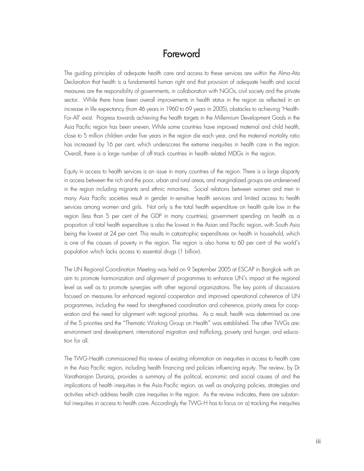# **Foreword**

The guiding principles of adequate health care and access to these services are within the Alma-Ata Declaration that health is a fundamental human right and that provision of adequate health and social measures are the responsibility of governments, in collaboration with NGOs, civil society and the private sector. While there have been overall improvements in health status in the region as reflected in an increase in life expectancy (from 46 years in 1960 to 69 years in 2005), obstacles to achieving 'Health-For-All' exist. Progress towards achieving the health targets in the Millennium Development Goals in the Asia Pacific region has been uneven. While some countries have improved maternal and child health, close to 5 million children under five years in the region die each year, and the maternal mortality ratio has increased by 16 per cent, which underscores the extreme inequities in health care in the region. Overall, there is a large number of off-track countries in health related MDGs in the region.

Equity in access to health services is an issue in many countries of the region. There is a large disparity in access between the rich and the poor, urban and rural areas, and marginalized groups are underserved in the region including migrants and ethnic minorities. Social relations between women and men in many Asia Pacific societies result in gender in-sensitive health services and limited access to health services among women and girls. Not only is the total health expenditure on health quite low in the region (less than 5 per cent of the GDP in many countries), government spending on health as a proportion of total health expenditure is also the lowest in the Asian and Pacific region, with South Asia being the lowest at 24 per cent. This results in catastrophic expenditures on health in household, which is one of the causes of poverty in the region. The region is also home to 60 per cent of the world's population which lacks access to essential drugs (1 billion).

The UN Regional Coordination Meeting was held on 9 September 2005 at ESCAP in Bangkok with an aim to promote harmonization and alignment of programmes to enhance UN's impact at the regional level as well as to promote synergies with other regional organizations. The key points of discussions focused on measures for enhanced regional cooperation and improved operational coherence of UN programmes, including the need for strengthened coordination and coherence, priority areas for cooperation and the need for alignment with regional priorities. As a result, health was determined as one of the 5 priorities and the "Thematic Working Group on Health" was established. The other TWGs are: environment and development, international migration and trafficking, poverty and hunger, and education for all.

The TWG-Health commissioned this review of existing information on inequities in access to health care in the Asia Pacific region, including health financing and policies influencing equity. The review, by Dr Varatharajan Durairaj, provides a summary of the political, economic and social causes of and the implications of health inequities in the Asia-Pacific region, as well as analyzing policies, strategies and activities which address health care inequities in the region. As the review indicates, there are substantial inequities in access to health care. Accordingly the TWG-H has to focus on a) tracking the inequities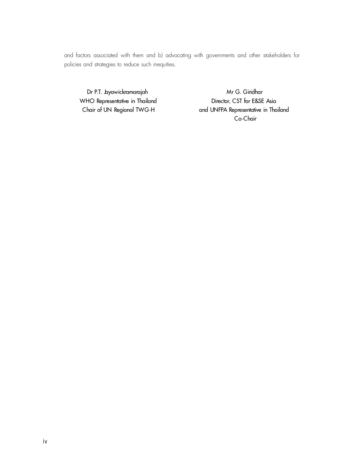and factors associated with them and b) advocating with governments and other stakeholders for policies and strategies to reduce such inequities.

**Dr P.T. Jayawickramarajah WHO Representative in Thailand Chair of UN Regional TWG-H**

**Mr G. Giridhar Director, CST for E&SE Asia and UNFPA Representative in Thailand Co-Chair**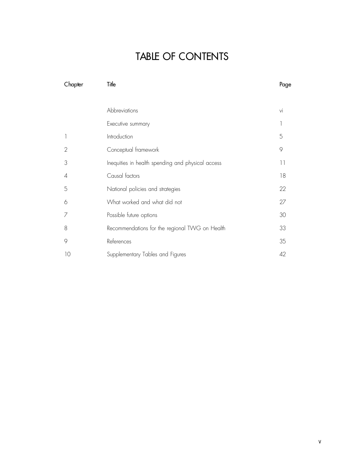# **TABLE OF CONTENTS**

| Chapter | Title                                             | Page |
|---------|---------------------------------------------------|------|
|         |                                                   |      |
|         | Abbreviations                                     | vi   |
|         | Executive summary                                 |      |
|         | Introduction                                      | 5    |
| 2       | Conceptual framework                              | 9    |
| 3       | Inequities in health spending and physical access | 11   |
| 4       | Causal factors                                    | 18   |
| 5       | National policies and strategies                  | 22   |
| 6       | What worked and what did not                      | 27   |
|         | Possible future options                           | 30   |
| 8       | Recommendations for the regional TWG on Health    | 33   |
| 9       | References                                        | 35   |
| 10      | Supplementary Tables and Figures                  | 42   |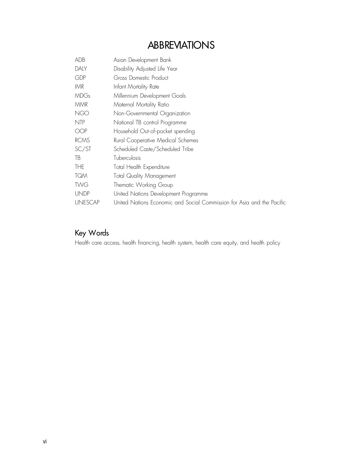# **ABBREVIATIONS**

| <b>ADB</b>     | Asian Development Bank                                                 |
|----------------|------------------------------------------------------------------------|
| <b>DALY</b>    | Disability Adjusted Life Year                                          |
| GDP            | Gross Domestic Product                                                 |
| IMR            | Infant Mortality Rate                                                  |
| <b>MDGs</b>    | Millennium Development Goals                                           |
| <b>MMR</b>     | Maternal Mortality Ratio                                               |
| NGO            | Non-Governmental Organization                                          |
| <b>NTP</b>     | National TB control Programme                                          |
| <b>OOP</b>     | Household Out-of-pocket spending                                       |
| <b>RCMS</b>    | <b>Rural Cooperative Medical Schemes</b>                               |
| SC/ST          | Scheduled Caste/Scheduled Tribe                                        |
| ТB             | Tuberculosis                                                           |
| THE.           | Total Health Expenditure                                               |
| <b>TQM</b>     | <b>Total Quality Management</b>                                        |
| <b>TWG</b>     | Thematic Working Group                                                 |
| <b>UNDP</b>    | United Nations Development Programme                                   |
| <b>UNESCAP</b> | United Nations Economic and Social Commission for Asia and the Pacific |

# **Key Words**

Health care access, health financing, health system, health care equity, and health policy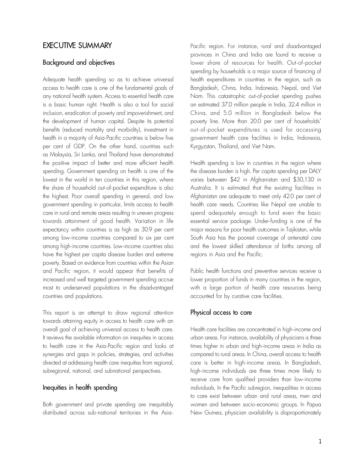#### **EXECUTIVE SUMMARY**

#### **Background and objectives**

Adequate health spending so as to achieve universal access to health care is one of the fundamental goals of any national health system. Access to essential health care is a basic human right. Health is also a tool for social inclusion, eradication of poverty and impoverishment, and the development of human capital. Despite its potential benefits (reduced mortality and morbidity), investment in health in a majority of Asia-Pacific countries is below five per cent of GDP. On the other hand, countries such as Malaysia, Sri Lanka, and Thailand have demonstrated the positive impact of better and more efficient health spending. Government spending on health is one of the lowest in the world in ten countries in this region, where the share of household out-of-pocket expenditure is also the highest. Poor overall spending in general, and low government spending in particular, limits access to health care in rural and remote areas resulting in uneven progress towards attainment of good health. Variation in life expectancy within countries is as high as 30.9 per cent among low-income countries compared to six per cent among high-income countries. Low-income countries also have the highest per capita disease burden and extreme poverty. Based on evidence from countries within the Asian and Pacific region, it would appear that benefits of increased and well targeted government spending accrue most to underserved populations in the disadvantaged countries and populations.

This report is an attempt to draw regional attention towards attaining equity in access to health care with an overall goal of achieving universal access to health care. It reviews the available information on inequities in access to health care in the Asia-Pacific region and looks at synergies and gaps in policies, strategies, and activities directed at addressing health care inequities from regional, subregional, national, and subnational perspectives.

#### **Inequities in health spending**

Both government and private spending are inequitably distributed across sub-national territories in the Asia-

Pacific region. For instance, rural and disadvantaged provinces in China and India are found to receive a lower share of resources for health. Out-of-pocket spending by households is a major source of financing of health expenditures in countries in the region, such as Bangladesh, China, India, Indonesia, Nepal, and Viet Nam. This catastrophic out-of-pocket spending pushes an estimated 37.0 million people in India, 32.4 million in China, and 5.0 million in Bangladesh below the poverty line. More than 20.0 per cent of households' out-of-pocket expenditures is used for accessing government health care facilities in India, Indonesia, Kyrgyzstan, Thailand, and Viet Nam.

Health spending is low in countries in the region where the disease burden is high. Per capita spending per DALY varies between \$42 in Afghanistan and \$30,130 in Australia. It is estimated that the existing facilities in Afghanistan are adequate to meet only 42.0 per cent of health care needs. Countries like Nepal are unable to spend adequately enough to fund even the basic essential service package. Under-funding is one of the major reasons for poor health outcomes in Tajikistan, while South Asia has the poorest coverage of antenatal care and the lowest skilled attendance of births among all regions in Asia and the Pacific.

Public health functions and preventive services receive a lower proportion of funds in many countries in the region, with a large portion of health care resources being accounted for by curative care facilities.

#### **Physical access to care**

Health care facilities are concentrated in high-income and urban areas. For instance, availability of physicians is three times higher in urban and high-income areas in India as compared to rural areas. In China, overall access to health care is better in high-income areas. In Bangladesh, high-income individuals are three times more likely to receive care from qualified providers than low-income individuals. In the Pacific subregion, inequalities in access to care exist between urban and rural areas, men and women and between socio-economic groups. In Papua New Guinea, physician availability is disproportionately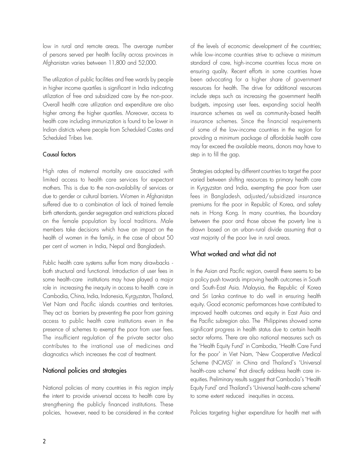low in rural and remote areas. The average number of persons served per health facility across provinces in Afghanistan varies between 11,800 and 52,000.

The utilization of public facilities and free wards by people in higher income quartiles is significant in India indicating utilization of free and subsidized care by the non-poor. Overall health care utilization and expenditure are also higher among the higher quartiles. Moreover, access to health care including immunization is found to be lower in Indian districts where people from Scheduled Castes and Scheduled Tribes live.

#### **Causal factors**

High rates of maternal mortality are associated with limited access to health care services for expectant mothers. This is due to the non-availability of services or due to gender or cultural barriers. Women in Afghanistan suffered due to a combination of lack of trained female birth attendants, gender segregation and restrictions placed on the female population by local traditions. Male members take decisions which have an impact on the health of women in the family, in the case of about 50 per cent of women in India, Nepal and Bangladesh.

Public health care systems suffer from many drawbacks both structural and functional. Introduction of user fees in some health-care institutions may have played a major role in increasing the inequity in access to health care in Cambodia, China, India, Indonesia, Kyrgyzstan, Thailand, Viet Nam and Pacific islands countries and territories. They act as barriers by preventing the poor from gaining access to public health care institutions even in the presence of schemes to exempt the poor from user fees. The insufficient regulation of the private sector also contributes to the irrational use of medicines and diagnostics which increases the cost of treatment.

## **National policies and strategies**

National policies of many countries in this region imply the intent to provide universal access to health care by strengthening the publicly financed institutions. These policies, however, need to be considered in the context

of the levels of economic development of the countries; while low-income countries strive to achieve a minimum standard of care, high-income countries focus more on ensuring quality. Recent efforts in some countries have been advocating for a higher share of government resources for health. The drive for additional resources include steps such as increasing the government health budgets, imposing user fees, expanding social health insurance schemes as well as community-based health insurance schemes. Since the financial requirements of some of the low-income countries in the region for providing a minimum package of affordable health care may far exceed the available means, donors may have to step in to fill the gap.

Strategies adopted by different countries to target the poor varied between shifting resources to primary health care in Kyrgyzstan and India, exempting the poor from user fees in Bangladesh, adjusted/subsidized insurance premiums for the poor in Republic of Korea, and safety nets in Hong Kong. In many countries, the boundary between the poor and those above the poverty line is drawn based on an urban-rural divide assuming that a vast majority of the poor live in rural areas.

## **What worked and what did not**

In the Asian and Pacific region, overall there seems to be a policy push towards improving health outcomes in South and South-East Asia. Malaysia, the Republic of Korea and Sri Lanka continue to do well in ensuring health equity. Good economic performances have contributed to improved health outcomes and equity in East Asia and the Pacific subregion also. The Philippines showed some significant progress in health status due to certain health sector reforms. There are also national measures such as the 'Health Equity Fund' in Cambodia, 'Health Care Fund for the poor' in Viet Nam, 'New Cooperative Medical Scheme (NCMS)' in China and Thailand's 'Universal health-care scheme' that directly address health care inequities. Preliminary results suggest that Cambodia's 'Health Equity Fund' and Thailand's 'Universal health-care scheme' to some extent reduced inequities in access.

Policies targeting higher expenditure for health met with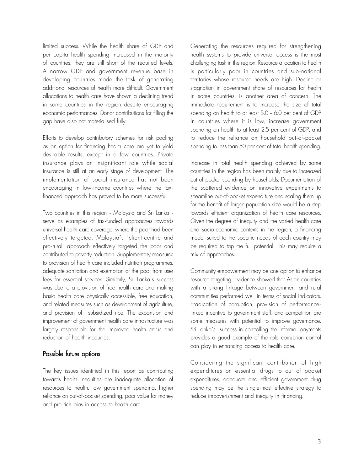limited success. While the health share of GDP and per capita health spending increased in the majority of countries, they are still short of the required levels. A narrow GDP and government revenue base in developing countries made the task of generating additional resources of health more difficult. Government allocations to health care have shown a declining trend in some countries in the region despite encouraging economic performances. Donor contributions for filling the gap have also not materialised fully.

Efforts to develop contributory schemes for risk pooling as an option for financing health care are yet to yield desirable results, except in a few countries. Private insurance plays an insignificant role while social insurance is still at an early stage of development. The implementation of social insurance has not been encouraging in low-income countries where the taxfinanced approach has proved to be more successful.

Two countries in this region - Malaysia and Sri Lanka serve as examples of tax-funded approaches towards universal health-care coverage, where the poor had been effectively targeted. Malaysia's 'client-centric and pro-rural' approach effectively targeted the poor and contributed to poverty reduction. Supplementary measures to provision of health care included nutrition programmes, adequate sanitation and exemption of the poor from user fees for essential services. Similarly, Sri Lanka's success was due to a provision of free health care and making basic health care physically accessible, free education, and related measures such as development of agriculture, and provision of subsidized rice. The expansion and improvement of government health care infrastructure was largely responsible for the improved health status and reduction of health inequities.

#### **Possible future options**

The key issues identified in this report as contributing towards health inequities are inadequate allocation of resources to health, low government spending, higher reliance on out-of-pocket spending, poor value for money and pro-rich bias in access to health care.

Generating the resources required for strengthening health systems to provide universal access is the most challenging task in the region. Resource allocation to health is particularly poor in countries and sub-national territories whose resource needs are high. Decline or stagnation in government share of resources for health in some countries, is another area of concern. The immediate requirement is to increase the size of total spending on health to at least 5.0 - 6.0 per cent of GDP in countries where it is low, increase government spending on health to at least 2.5 per cent of GDP, and to reduce the reliance on household out-of-pocket spending to less than 50 per cent of total health spending.

Increase in total health spending achieved by some countries in the region has been mainly due to increased out-of-pocket spending by households. Documentation of the scattered evidence on innovative experiments to streamline out-of-pocket expenditure and scaling them up for the benefit of larger population size would be a step towards efficient organization of health care resources. Given the degree of inequity and the varied health care and socio-economic contexts in the region, a financing model suited to the specific needs of each country may be required to tap the full potential. This may require a mix of approaches.

Community empowerment may be one option to enhance resource targeting. Evidence showed that Asian countries with a strong linkage between government and rural communities performed well in terms of social indicators. Eradication of corruption, provision of performancelinked incentive to government staff, and competition are some measures with potential to improve governance. Sri Lanka's success in controlling the informal payments provides a good example of the role corruption control can play in enhancing access to health care.

Considering the significant contribution of high expenditures on essential drugs to out of pocket expenditures, adequate and efficient government drug spending may be the single-most effective strategy to reduce impoverishment and inequity in financing.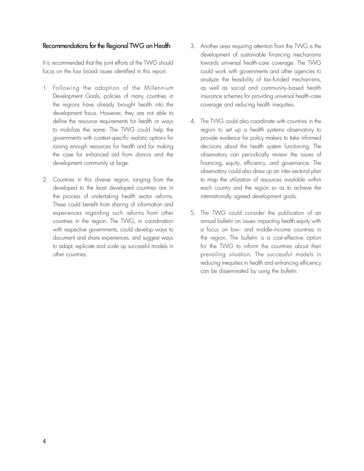#### **Recommendations for the Regional TWG on Health**

It is recommended that the joint efforts of the TWG should focus on the four broad issues identified in this report.

- 1. Following the adoption of the Millennium Development Goals, policies of many countries in the regions have already brought health into the development focus. However, they are not able to define the resource requirements for health or ways to mobilize the same. The TWG could help the governments with context-specific realistic options for raising enough resources for health and for making the case for enhanced aid from donors and the development community at large.
- 2. Countries in this diverse region, ranging from the developed to the least developed countries are in the process of undertaking health sector reforms. These could benefit from sharing of information and experiences regarding such reforms from other countries in the region. The TWG, in coordination with respective governments, could develop ways to document and share experiences, and suggest ways to adapt, replicate and scale up successful models in other countries.
- 3. Another area requiring attention from the TWG is the development of sustainable financing mechanisms towards universal health-care coverage. The TWG could work with governments and other agencies to analyze the feasibility of tax-funded mechanisms, as well as social and community-based health insurance schemes for providing universal health-care coverage and reducing health inequities.
- 4. The TWG could also coordinate with countries in the region to set up a health systems observatory to provide evidence for policy makers to take informed decisions about the health system functioning. The observatory can periodically review the issues of financing, equity, efficiency, and governance. The observatory could also draw up an inter-sectoral plan to map the utilization of resources available within each country and the region so as to achieve the internationally agreed development goals.
- 5. The TWG could consider the publication of an annual bulletin on issues impacting health equity with a focus on low- and middle-income countries in the region. The bulletin is a cost-effective option for the TWG to inform the countries about their prevailing situation. The successful models in reducing inequities in health and enhancing efficiency can be disseminated by using the bulletin.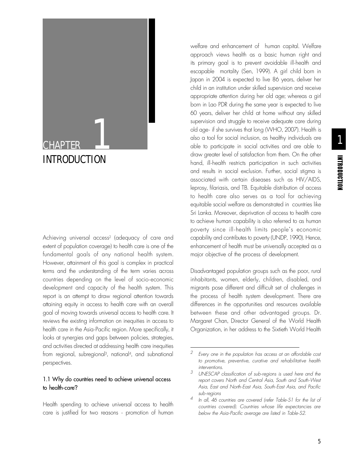

Achieving universal access<sup>2</sup> (adequacy of care and extent of population coverage) to health care is one of the fundamental goals of any national health system. However, attainment of this goal is complex in practical terms and the understanding of the term varies across countries depending on the level of socio-economic development and capacity of the health system. This report is an attempt to draw regional attention towards attaining equity in access to health care with an overall goal of moving towards universal access to health care. It reviews the existing information on inequities in access to health care in the Asia-Pacific region. More specifically, it looks at synergies and gaps between policies, strategies, and activities directed at addressing health care inequities from regional, subregional<sup>3</sup>, national<sup>4</sup>, and subnational perspectives.

#### **1.1 Why do countries need to achieve universal access to health-care?**

Health spending to achieve universal access to health care is justified for two reasons - promotion of human

welfare and enhancement of human capital. Welfare approach views health as a basic human right and its primary goal is to prevent avoidable ill-health and escapable mortality (Sen, 1999). A girl child born in Japan in 2004 is expected to live 86 years, deliver her child in an institution under skilled supervision and receive appropriate attention during her old age; whereas a girl born in Lao PDR during the same year is expected to live 60 years, deliver her child at home without any skilled supervision and struggle to receive adequate care during old age- if she survives that long (WHO, 2007). Health is also a tool for social inclusion, as healthy individuals are able to participate in social activities and are able to draw greater level of satisfaction from them. On the other hand, ill-health restricts participation in such activities and results in social exclusion. Further, social stigma is associated with certain diseases such as HIV/AIDS, leprosy, filariasis, and TB. Equitable distribution of access to health care also serves as a tool for achieving equitable social welfare as demonstrated in countries like Sri Lanka. Moreover, deprivation of access to health care to achieve human capability is also referred to as human poverty since ill-health limits people's economic capability and contributes to poverty (UNDP, 1990). Hence, enhancement of health must be universally accepted as a major objective of the process of development.

Disadvantaged population groups such as the poor, rural inhabitants, women, elderly, children, disabled, and migrants pose different and difficult set of challenges in the process of health system development. There are differences in the opportunities and resources available between these and other advantaged groups. Dr. Margaret Chan, Director General of the World Health Organization, in her address to the Sixtieth World Health

*<sup>2</sup> Every one in the population has access at an affordable cost to promotive, preventive, curative and rehabilitative health interventions.*

*<sup>3</sup> UNESCAP classification of sub-regions is used here and the report covers North and Central Asia, South and South-West Asia, East and North-East Asia, South-East Asia, and Pacific sub-regions*

*<sup>4</sup> In all, 46 countries are covered (refer Table-S1 for the list of countries covered). Countries whose life expectancies are below the Asia-Pacific average are listed in Table-S2.*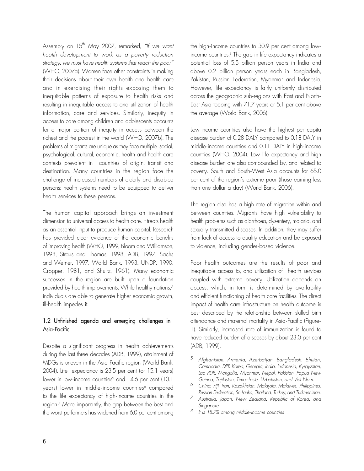Assembly on 15<sup>th</sup> May 2007, remarked, "If we want *health development to work as a poverty reduction* strategy, we must have health systems that reach the poor" (WHO, 2007a). Women face other constraints in making their decisions about their own health and health care and in exercising their rights exposing them to inequitable patterns of exposure to health risks and resulting in inequitable access to and utilization of health information, care and services. Similarly, inequity in access to care among children and adolescents accounts for a major portion of inequity in access between the richest and the poorest in the world (WHO, 2007b). The problems of migrants are unique as they face multiple social, psychological, cultural, economic, health and health care contexts prevalent in countries of origin, transit and destination. Many countries in the region face the challenge of increased numbers of elderly and disabled persons; health systems need to be equipped to deliver health services to these persons.

The human capital approach brings an investment dimension to universal access to health care. It treats health as an essential input to produce human capital. Research has provided clear evidence of the economic benefits of improving health (WHO, 1999, Bloom and Williamson, 1998, Straus and Thomas, 1998, ADB, 1997, Sachs and Werner, 1997, World Bank, 1993, UNDP, 1990, Cropper, 1981, and Shultz, 1961). Many economic successes in the region are built upon a foundation provided by health improvements. While healthy nations/ individuals are able to generate higher economic growth, ill-health impedes it.

#### **1.2 Unfinished agenda and emerging challenges in Asia-Pacific**

Despite a significant progress in health achievements during the last three decades (ADB, 1999), attainment of MDGs is uneven in the Asia-Pacific region (World Bank, 2004). Life expectancy is 23.5 per cent (or 15.1 years) lower in low-income countries<sup>5</sup> and 14.6 per cent (10.1) years) lower in middle-income countries<sup>6</sup> compared to the life expectancy of high-income countries in the region.<sup>7</sup> More importantly, the gap between the best and the worst performers has widened from 6.0 per cent among

the high-income countries to 30.9 per cent among lowincome countries.<sup>8</sup> The gap in life expectancy indicates a potential loss of 5.5 billion person years in India and above 0.2 billion person years each in Bangladesh, Pakistan, Russian Federation, Myanmar and Indonesia. However, life expectancy is fairly uniformly distributed across the geographic sub-regions with East and North-East Asia topping with 71.7 years or 5.1 per cent above the average (World Bank, 2006).

Low-income countries also have the highest per capita disease burden of 0.28 DALY compared to 0.18 DALY in middle-income countries and 0.11 DALY in high-income countries (WHO, 2004). Low life expectancy and high disease burden are also compounded by, and related to poverty. South and South-West Asia accounts for 65.0 per cent of the region's extreme poor (those earning less than one dollar a day) (World Bank, 2006).

The region also has a high rate of migration within and between countries. Migrants have high vulnerability to health problems such as diarrhoea, dysentery, malaria, and sexually transmitted diseases. In addition, they may suffer from lack of access to quality education and be exposed to violence, including gender-based violence.

Poor health outcomes are the results of poor and inequitable access to, and utilization of health services coupled with extreme poverty. Utilization depends on access, which, in turn, is determined by availability and efficient functioning of health care facilities. The direct impact of health care infrastructure on health outcome is best described by the relationship between skilled birth attendance and maternal mortality in Asia-Pacific (Figure-1). Similarly, increased rate of immunization is found to have reduced burden of diseases by about 23.0 per cent (ADB, 1999).

*<sup>5</sup> Afghanistan, Armenia, Azerbaijan, Bangladesh, Bhutan, Cambodia, DPR Korea, Georgia, India, Indonesia, Kyrgyzstan, Lao PDR, Mongolia, Myanmar, Nepal, Pakistan, Papua New Guinea, Tajikistan, Timor-Leste, Uzbekistan, and Viet Nam.*

*<sup>6</sup> China, Fiji, Iran, Kazakhstan, Malaysia, Maldives, Philippines, Russian Federation, Sri Lanka, Thailand, Turkey, and Turkmenistan.*

*<sup>7</sup> Australia, Japan, New Zealand, Republic of Korea, and Singapore*

*<sup>8</sup> It is 18.7% among middle-income countries*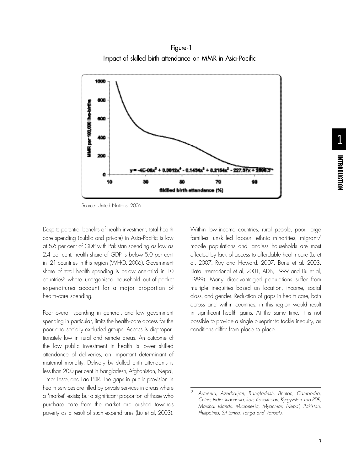**Figure-1 Impact of skilled birth attendance on MMR in Asia-Pacific**



Source: United Nations, 2006

Despite potential benefits of health investment, total health care spending (public and private) in Asia-Pacific is low at 5.6 per cent of GDP with Pakistan spending as low as 2.4 per cent; health share of GDP is below 5.0 per cent in 21 countries in this region (WHO, 2006). Government share of total health spending is below one-third in 10 countries<sup>9</sup> where unorganised household out-of-pocket expenditures account for a major proportion of health-care spending.

Poor overall spending in general, and low government spending in particular, limits the health-care access for the poor and socially excluded groups. Access is disproportionately low in rural and remote areas. An outcome of the low public investment in health is lower skilled attendance of deliveries, an important determinant of maternal mortality. Delivery by skilled birth attendants is less than 20.0 per cent in Bangladesh, Afghanistan, Nepal, Timor Leste, and Lao PDR. The gaps in public provision in health services are filled by private services in areas where a 'market' exists; but a significant proportion of those who purchase care from the market are pushed towards poverty as a result of such expenditures (Liu et al, 2003). Within low-income countries, rural people, poor, large families, unskilled labour, ethnic minorities, migrant/ mobile populations and landless households are most affected by lack of access to affordable health care (Lu et al, 2007, Roy and Howard, 2007, Bonu et al, 2003, Data International et al, 2001, ADB, 1999 and Liu et al, 1999). Many disadvantaged populations suffer from multiple inequities based on location, income, social class, and gender. Reduction of gaps in health care, both across and within countries, in this region would result in significant health gains. At the same time, it is not possible to provide a single blueprint to tackle inequity, as conditions differ from place to place.

*<sup>9</sup> Armenia, Azerbaijan, Bangladesh, Bhutan, Cambodia, China, India, Indonesia, Iran, Kazakhstan, Kyrgyzstan, Lao PDR, Marshal Islands, Micronesia, Myanmar, Nepal, Pakistan, Philippines, Sri Lanka, Tonga and Vanuatu.*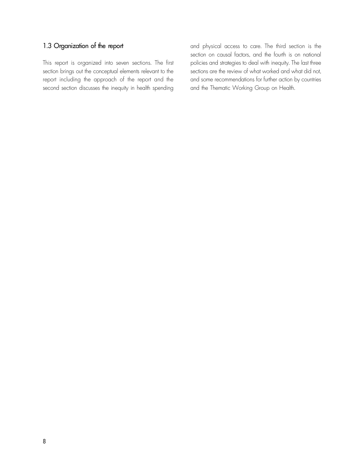### **1.3 Organization of the report**

This report is organized into seven sections. The first section brings out the conceptual elements relevant to the report including the approach of the report and the second section discusses the inequity in health spending

and physical access to care. The third section is the section on causal factors, and the fourth is on national policies and strategies to deal with inequity. The last three sections are the review of what worked and what did not, and some recommendations for further action by countries and the Thematic Working Group on Health.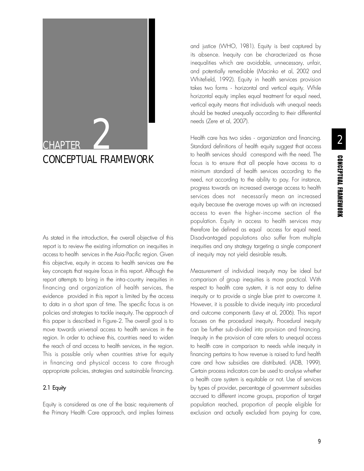

As stated in the introduction, the overall objective of this report is to review the existing information on inequities in access to health services in the Asia-Pacific region. Given this objective, equity in access to health services are the key concepts that require focus in this report. Although the report attempts to bring in the intra-country inequities in financing and organization of health services, the evidence provided in this report is limited by the access to data in a short span of time. The specific focus is on policies and strategies to tackle inequity. The approach of this paper is described in Figure-2. The overall goal is to move towards universal access to health services in the region. In order to achieve this, countries need to widen the reach of and access to health services, in the region. This is possible only when countries strive for equity in financing and physical access to care through appropriate policies, strategies and sustainable financing.

#### **2.1 Equity**

Equity is considered as one of the basic requirements of the Primary Health Care approach, and implies fairness and justice (WHO, 1981). Equity is best captured by its absence. Inequity can be characterized as those inequalities which are avoidable, unnecessary, unfair, and potentially remediable (Macinko et al, 2002 and Whitefield, 1992). Equity in health services provision takes two forms - horizontal and vertical equity. While horizontal equity implies equal treatment for equal need, vertical equity means that individuals with unequal needs should be treated unequally according to their differential needs (Zere et al, 2007).

Health care has two sides - organization and financing. Standard definitions of health equity suggest that access to health services should correspond with the need. The focus is to ensure that all people have access to a minimum standard of health services according to the need, not according to the ability to pay. For instance, progress towards an increased average access to health services does not necessarily mean an increased equity because the average moves up with an increased access to even the higher-income section of the population. Equity in access to health services may therefore be defined as equal access for equal need. Disadvantaged populations also suffer from multiple inequities and any strategy targeting a single component of inequity may not yield desirable results.

Measurement of individual inequity may be ideal but comparison of group inequities is more practical. With respect to health care system, it is not easy to define inequity or to provide a single blue print to overcome it. However, it is possible to divide inequity into procedural and outcome components (Levy et al, 2006). This report focuses on the procedural inequity. Procedural inequity can be further sub-divided into provision and financing. Inequity in the provision of care refers to unequal access to health care in comparison to needs while inequity in financing pertains to how revenue is raised to fund health care and how subsidies are distributed. (ADB, 1999). Certain process indicators can be used to analyse whether a health care system is equitable or not. Use of services by types of provider, percentage of government subsidies accrued to different income groups, proportion of target population reached, proportion of people eligible for exclusion and actually excluded from paying for care,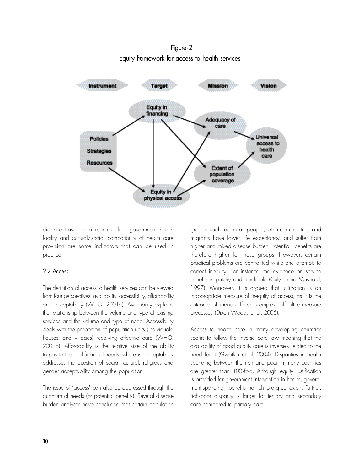**Figure-2 Equity framework for access to health services**



distance travelled to reach a free government health facility and cultural/social compatibility of health care provision are some indicators that can be used in practice.

#### **2.2 Access**

The definition of access to health services can be viewed from four perspectives; availability, accessibility, affordability and acceptability (WHO, 2001a). Availability explains the relationship between the volume and type of existing services and the volume and type of need. Accessibility deals with the proportion of population units (individuals, houses, and villages) receiving effective care (WHO, 2001b). Affordability is the relative size of the ability to pay to the total financial needs, whereas acceptability addresses the question of social, cultural, religious and gender acceptability among the population.

The issue of 'access' can also be addressed through the quantum of needs (or potential benefits). Several disease burden analyses have concluded that certain population

groups such as rural people, ethnic minorities and migrants have lower life expectancy, and suffer from higher and mixed disease burden. Potential benefits are therefore higher for these groups. However, certain practical problems are confronted while one attempts to correct inequity. For instance, the evidence on service benefits is patchy and unreliable (Culyer and Maynard, 1997). Moreover, it is argued that utilization is an inappropriate measure of inequity of access, as it is the outcome of many different complex difficult-to-measure processes (Dixon-Woods et al, 2006).

Access to health care in many developing countries seems to follow the inverse care law meaning that the availability of good quality care is inversely related to the need for it (Gwatkin et al, 2004). Disparities in health spending between the rich and poor in many countries are greater than 100-fold. Although equity justification is provided for government intervention in health, government spending benefits the rich to a great extent. Further, rich-poor disparity is larger for tertiary and secondary care compared to primary care.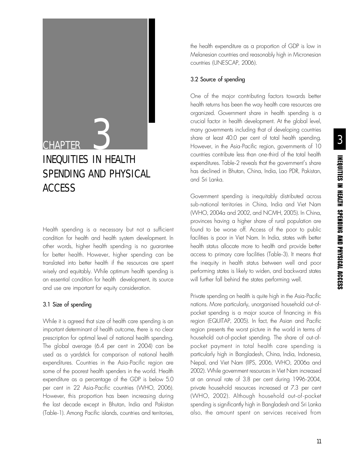

Health spending is a necessary but not a sufficient condition for health and health system development. In other words, higher health spending is no guarantee for better health. However, higher spending can be translated into better health if the resources are spent wisely and equitably. While optimum health spending is an essential condition for health development, its source and use are important for equity consideration.

#### **3.1 Size of spending**

While it is agreed that size of health care spending is an important determinant of health outcome, there is no clear prescription for optimal level of national health spending. The global average (6.4 per cent in 2004) can be used as a yardstick for comparison of national health expenditures. Countries in the Asia-Pacific region are some of the poorest health spenders in the world. Health expenditure as a percentage of the GDP is below 5.0 per cent in 22 Asia-Pacific countries (WHO, 2006). However, this proportion has been increasing during the last decade except in Bhutan, India and Pakistan (Table-1). Among Pacific islands, countries and territories,

the health expenditure as a proportion of GDP is low in Melanesian countries and reasonably high in Micronesian countries (UNESCAP, 2006).

#### **3.2 Source of spending**

One of the major contributing factors towards better health returns has been the way health care resources are organized. Government share in health spending is a crucial factor in health development. At the global level, many governments including that of developing countries share at least 40.0 per cent of total health spending. However, in the Asia-Pacific region, governments of 10 countries contribute less than one-third of the total health expenditures. Table-2 reveals that the government's share has declined in Bhutan, China, India, Lao PDR, Pakistan, and Sri Lanka.

Government spending is inequitably distributed across sub-national territories in China, India and Viet Nam (WHO, 2004a and 2002, and NCMH, 2005). In China, provinces having a higher share of rural population are found to be worse off. Access of the poor to public facilities is poor in Viet Nam. In India, states with better health status allocate more to health and provide better access to primary care facilities (Table-3). It means that the inequity in health status between well and poor performing states is likely to widen, and backward states will further fall behind the states performing well.

Private spending on health is quite high in the Asia-Pacific nations. More particularly, unorganised household out-ofpocket spending is a major source of financing in this region (EQUITAP, 2005). In fact, the Asian and Pacific region presents the worst picture in the world in terms of household out-of-pocket spending. The share of out-ofpocket payment in total health care spending is particularly high in Bangladesh, China, India, Indonesia, Nepal, and Viet Nam (IIPS, 2006, WHO, 2006a and 2002). While government resources in Viet Nam increased at an annual rate of 3.8 per cent during 1996-2004, private household resources increased at 7.3 per cent (WHO, 2002). Although household out-of-pocket spending is significantly high in Bangladesh and Sri Lanka also, the amount spent on services received from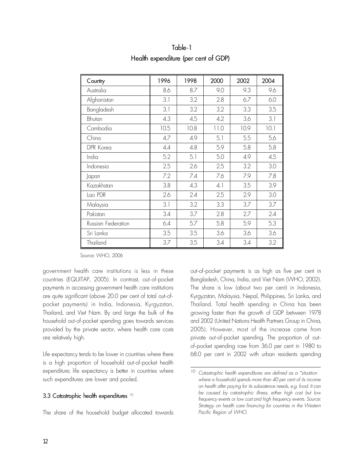| Country            | 1996 | 1998 | 2000 | 2002 | 2004 |
|--------------------|------|------|------|------|------|
| Australia          | 8.6  | 8.7  | 9.0  | 9.3  | 9.6  |
| Afghanistan        | 3.1  | 3.2  | 2.8  | 6.7  | 6.0  |
| Bangladesh         | 3.1  | 3.2  | 3.2  | 3.3  | 3.5  |
| Bhutan             | 4.3  | 4.5  | 4.2  | 3.6  | 3.1  |
| Cambodia           | 10.5 | 10.8 | 11.0 | 10.9 | 10.1 |
| China              | 4.7  | 4.9  | 5.1  | 5.5  | 5.6  |
| <b>DPR</b> Korea   | 4.4  | 4.8  | 5.9  | 5.8  | 5.8  |
| India              | 5.2  | 5.1  | 5.0  | 4.9  | 4.5  |
| Indonesia          | 2.5  | 2.6  | 2.5  | 3.2  | 3.0  |
| Japan              | 7.2  | 7.4  | 7.6  | 7.9  | 7.8  |
| Kazakhstan         | 3.8  | 4.3  | 4.1  | 3.5  | 3.9  |
| Lao PDR            | 2.6  | 2.4  | 2.5  | 2.9  | 3.0  |
| Malaysia           | 3.1  | 3.2  | 3.3  | 3.7  | 3.7  |
| Pakistan           | 3.4  | 3.7  | 2.8  | 2.7  | 2.4  |
| Russian Federation | 6.4  | 5.7  | 5.8  | 5.9  | 5.3  |
| Sri Lanka          | 3.5  | 3.5  | 3.6  | 3.6  | 3.6  |
| Thailand           | 3.7  | 3.5  | 3.4  | 3.4  | 3.2  |

## **Table-1 Health expenditure (per cent of GDP)**

Source: WHO, 2006

government health care institutions is less in these countries (EQUITAP, 2005). In contrast, out-of-pocket payments in accessing government health care institutions are quite significant (above 20.0 per cent of total out-ofpocket payments) in India, Indonesia, Kyrgyzstan, Thailand, and Viet Nam. By and large the bulk of the household out-of-pocket spending goes towards services provided by the private sector, where health care costs are relatively high.

Life expectancy tends to be lower in countries where there is a high proportion of household out-of-pocket health expenditure; life expectancy is better in countries where such expenditures are lower and pooled.

#### **3.3 Catastrophic health expenditures** <sup>10</sup>

The share of the household budget allocated towards

out-of-pocket payments is as high as five per cent in Bangladesh, China, India, and Viet Nam (WHO, 2002). The share is low (about two per cent) in Indonesia, Kyrgyzstan, Malaysia, Nepal, Philippines, Sri Lanka, and Thailand. Total health spending in China has been growing faster than the growth of GDP between 1978 and 2002 (United Nations Health Partners Group in China, 2005). However, most of the increase came from private out-of-pocket spending. The proportion of outof-pocket spending rose from 36.0 per cent in 1980 to 68.0 per cent in 2002 with urban residents spending

<sup>&</sup>lt;sup>10</sup> Catastrophic health expenditures are defined as a "situation *where a household spends more than 40 per cent of its income on health after paying for its subsistence needs, e.g. food. It can be caused by catastrophic illness, either high cost but low frequency events or low cost and high frequency events. Source: Strategy on health care financing for countries in the Western Pacific Region of WHO.*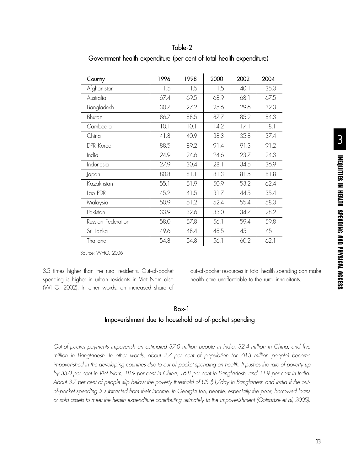#### **Table-2**

|  | Govemment health expenditure (per cent of total health expenditure) |
|--|---------------------------------------------------------------------|
|--|---------------------------------------------------------------------|

| Country            | 1996 | 1998 | 2000 | 2002 | 2004 |
|--------------------|------|------|------|------|------|
| Afghanistan        | 1.5  | 1.5  | 1.5  | 40.1 | 35.3 |
| Australia          | 67.4 | 69.5 | 68.9 | 68.1 | 67.5 |
| Bangladesh         | 30.7 | 27.2 | 25.6 | 29.6 | 32.3 |
| Bhutan             | 86.7 | 88.5 | 87.7 | 85.2 | 84.3 |
| Cambodia           | 10.1 | 10.1 | 14.2 | 17.1 | 18.1 |
| China              | 41.8 | 40.9 | 38.3 | 35.8 | 37.4 |
| DPR Korea          | 88.5 | 89.2 | 91.4 | 91.3 | 91.2 |
| India              | 24.9 | 24.6 | 24.6 | 23.7 | 24.3 |
| Indonesia          | 27.9 | 30.4 | 28.1 | 34.5 | 36.9 |
| Japan              | 80.8 | 81.1 | 81.3 | 81.5 | 81.8 |
| Kazakhstan         | 55.1 | 51.9 | 50.9 | 53.2 | 62.4 |
| Lao PDR            | 45.2 | 41.5 | 31.7 | 44.5 | 35.4 |
| Malaysia           | 50.9 | 51.2 | 52.4 | 55.4 | 58.3 |
| Pakistan           | 33.9 | 32.6 | 33.0 | 34.7 | 28.2 |
| Russian Federation | 58.0 | 57.8 | 56.1 | 59.4 | 59.8 |
| Sri Lanka          | 49.6 | 48.4 | 48.5 | 45   | 45   |
| Thailand           | 54.8 | 54.8 | 56.1 | 60.2 | 62.1 |

Source: WHO, 2006

3.5 times higher than the rural residents. Out-of-pocket spending is higher in urban residents in Viet Nam also (WHO, 2002). In other words, an increased share of out-of-pocket resources in total health spending can make health care unaffordable to the rural inhabitants.

#### **Box-1**

#### **Impoverishment due to household out-of-pocket spending**

*Out-of-pocket payments impoverish an estimated 37.0 million people in India, 32.4 million in China, and five million in Bangladesh. In other words, about 2.7 per cent of population (or 78.3 million people) become impoverished in the developing countries due to out-of-pocket spending on health. It pushes the rate of poverty up by 33.0 per cent in Viet Nam, 18.9 per cent in China, 16.8 per cent in Bangladesh, and 11.9 per cent in India. About 3.7 per cent of people slip below the poverty threshold of US \$1/day in Bangladesh and India if the outof-pocket spending is subtracted from their income. In Georgia too, people, especially the poor, borrowed loans or sold assets to meet the health expenditure contributing ultimately to the impoverishment (Gotsadze et al, 2005).*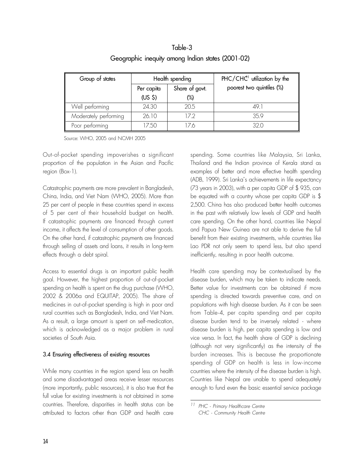# **Table-3**

| Group of states       |                              | Health spending | PHC/CHC <sup>1</sup> utilization by the |
|-----------------------|------------------------------|-----------------|-----------------------------------------|
|                       | Share of govt.<br>Per capita |                 | poorest two quintiles (%)               |
|                       | (US <sub>5</sub> )           | (%)             |                                         |
| Well performing       | 24.30                        | 20.5            | 49 1                                    |
| Moderately performing | 26.10                        | 172             | 359                                     |
| Poor performing       | 7.50                         | 76              | 32 O                                    |

## **Geographic inequity among Indian states (2001-02)**

Source: WHO, 2005 and NCMH 2005

Out-of-pocket spending impoverishes a significant proportion of the population in the Asian and Pacific region (Box-1).

Catastrophic payments are more prevalent in Bangladesh, China, India, and Viet Nam (WHO, 2005). More than 25 per cent of people in these countries spend in excess of 5 per cent of their household budget on health. If catastrophic payments are financed through current income, it affects the level of consumption of other goods. On the other hand, if catastrophic payments are financed through selling of assets and loans, it results in long-term effects through a debt spiral.

Access to essential drugs is an important public health goal. However, the highest proportion of out-of-pocket spending on health is spent on the drug purchase (WHO, 2002 & 2006a and EQUITAP, 2005). The share of medicines in out-of-pocket spending is high in poor and rural countries such as Bangladesh, India, and Viet Nam. As a result, a large amount is spent on self-medication, which is acknowledged as a major problem in rural societies of South Asia.

#### **3.4 Ensuring effectiveness of existing resources**

While many countries in the region spend less on health and some disadvantaged areas receive lesser resources (more importantly, public resources), it is also true that the full value for existing investments is not obtained in some countries. Therefore, disparities in health status can be attributed to factors other than GDP and health care

spending. Some countries like Malaysia, Sri Lanka, Thailand and the Indian province of Kerala stand as examples of better and more effective health spending (ADB, 1999). Sri Lanka's achievements in life expectancy (73 years in 2003), with a per capita GDP of \$ 935, can be equated with a country whose per capita GDP is \$ 2,500. China has also produced better health outcomes in the past with relatively low levels of GDP and health care spending. On the other hand, countries like Nepal and Papua New Guinea are not able to derive the full benefit from their existing investments, while countries like Lao PDR not only seem to spend less, but also spend inefficiently, resulting in poor health outcome.

Health care spending may be contextualised by the disease burden, which may be taken to indicate needs. Better value for investments can be obtained if more spending is directed towards preventive care, and on populations with high disease burden. As it can be seen from Table-4, per capita spending and per capita disease burden tend to be inversely related - where disease burden is high, per capita spending is low and vice versa. In fact, the health share of GDP is declining (although not very significantly) as the intensity of the burden increases. This is because the proportionate spending of GDP on health is less in low-income countries where the intensity of the disease burden is high. Countries like Nepal are unable to spend adequately enough to fund even the basic essential service package

*<sup>11</sup> PHC - Primary Healthcare Centre CHC - Community Health Centre*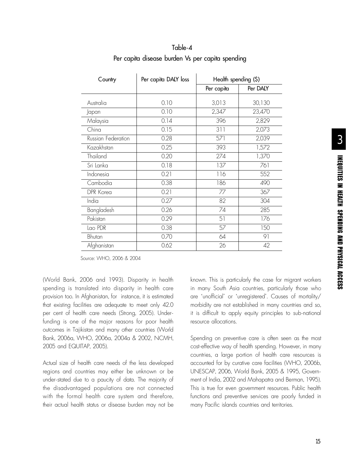| Country            | Per capita DALY loss | Health spending (\$) |          |  |
|--------------------|----------------------|----------------------|----------|--|
|                    |                      | Per capita           | Per DALY |  |
| Australia          | 0.10                 | 3,013                | 30,130   |  |
| Japan              | 0.10                 | 2,347                | 23,470   |  |
| Malaysia           | 0.14                 | 396                  | 2,829    |  |
| China              | 0.15                 | 311                  | 2,073    |  |
| Russian Federation | 0.28                 | 571                  | 2,039    |  |
| Kazakhstan         | 0.25                 | 393                  | 1,572    |  |
| Thailand           | 0.20                 | 274                  | 1,370    |  |
| Sri Lanka          | 0.18                 | 137                  | 761      |  |
| Indonesia          | 0.21                 | 116                  | 552      |  |
| Cambodia           | 0.38                 | 186                  | 490      |  |
| DPR Korea          | 0.21                 | 77                   | 367      |  |
| India              | 0.27                 | 82                   | 304      |  |
| Bangladesh         | 0.26                 | 74                   | 285      |  |
| Pakistan           | 0.29                 | 51                   | 176      |  |
| Lao PDR            | 0.38                 | 57                   | 150      |  |
| Bhutan             | 0.70                 | 64                   | 91       |  |
| Afghanistan        | 0.62                 | 26                   | 42       |  |

# **Table-4 Per capita disease burden Vs per capita spending**

Source: WHO, 2006 & 2004

(World Bank, 2006 and 1993). Disparity in health spending is translated into disparity in health care provision too. In Afghanistan, for instance, it is estimated that existing facilities are adequate to meet only 42.0 per cent of health care needs (Strong, 2005). Underfunding is one of the major reasons for poor health outcomes in Tajikistan and many other countries (World Bank, 2006a, WHO, 2006a, 2004a & 2002, NCMH, 2005 and EQUITAP, 2005).

Actual size of health care needs of the less developed regions and countries may either be unknown or be under-stated due to a paucity of data. The majority of the disadvantaged populations are not connected with the formal health care system and therefore, their actual health status or disease burden may not be

known. This is particularly the case for migrant workers in many South Asia countries, particularly those who are 'unofficial' or 'unregistered'. Causes of mortality/ morbidity are not established in many countries and so, it is difficult to apply equity principles to sub-national resource allocations.

Spending on preventive care is often seen as the most cost-effective way of health spending. However, in many countries, a large portion of health care resources is accounted for by curative care facilities (WHO, 2006b, UNESCAP, 2006, World Bank, 2005 & 1995, Government of India, 2002 and Mahapatra and Berman, 1995). This is true for even government resources. Public health functions and preventive services are poorly funded in many Pacific islands countries and territories.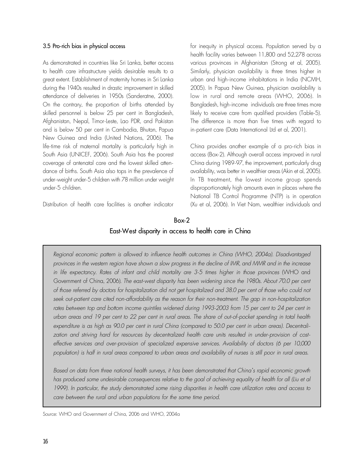#### **3.5 Pro-rich bias in physical access**

As demonstrated in countries like Sri Lanka, better access to health care infrastructure yields desirable results to a great extent. Establishment of maternity homes in Sri Lanka during the 1940s resulted in drastic improvement in skilled attendance of deliveries in 1950s (Sanderatne, 2000). On the contrary, the proportion of births attended by skilled personnel is below 25 per cent in Bangladesh, Afghanistan, Nepal, Timor-Leste, Lao PDR, and Pakistan and is below 50 per cent in Cambodia, Bhutan, Papua New Guinea and India (United Nations, 2006). The life-time risk of maternal mortality is particularly high in South Asia (UNICEF, 2006). South Asia has the poorest coverage of antenatal care and the lowest skilled attendance of births. South Asia also tops in the prevalence of under-weight under-5 children with 78 million under weight under-5 children.

Distribution of health care facilities is another indicator

for inequity in physical access. Population served by a health facility varies between 11,800 and 52,278 across various provinces in Afghanistan (Strong et al, 2005). Similarly, physician availability is three times higher in urban and high-income inhabitations in India (NCMH, 2005). In Papua New Guinea, physician availability is low in rural and remote areas (WHO, 2006). In Bangladesh, high-income individuals are three times more likely to receive care from qualified providers (Table-5). The difference is more than five times with regard to in-patient care (Data International Ltd et al, 2001).

China provides another example of a pro-rich bias in access (Box-2). Although overall access improved in rural China during 1989-97, the improvement, particularly drug availability, was better in wealthier areas (Akin et al, 2005). In TB treatment, the lowest income group spends disproportionately high amounts even in places where the National TB Control Programme (NTP) is in operation (Xu et al, 2006). In Viet Nam, wealthier individuals and

# **Box-2 East-West disparity in access to health care in China**

*Regional economic pattern is allowed to influence health outcomes in China (WHO, 2004a). Disadvantaged provinces in the western region have shown a slow progress in the decline of IMR, and MMR and in the increase in life expectancy. Rates of infant and child mortality are 3-5 times higher in those provinces* (WHO and Government of China, 2006)*. The east-west disparity has been widening since the 1980s. About 70.0 per cent of those referred by doctors for hospitalization did not get hospitalized and 38.0 per cent of those who could not seek out-patient care cited non-affordability as the reason for their non-treatment. The gap in non-hospitalization rates between top and bottom income quintiles widened during 1993-2003 from 15 per cent to 24 per cent in urban areas and 19 per cent to 22 per cent in rural areas. The share of out-of-pocket spending in total health expenditure is as high as 90.0 per cent in rural China (compared to 50.0 per cent in urban areas). Decentralization and striving hard for resources by decentralized health care units resulted in under-provision of costeffective services and over-provision of specialized expensive services. Availability of doctors (6 per 10,000 population) is half in rural areas compared to urban areas and availability of nurses is still poor in rural areas.*

Based on data from three national health surveys, it has been demonstrated that China's rapid economic growth *has produced some undesirable consequences relative to the goal of achieving equality of health for all (Liu et al 1999). In particular, the study demonstrated some rising disparities in health care utilization rates and access to care between the rural and urban populations for the same time period.*

Source: WHO and Government of China, 2006 and WHO, 2004a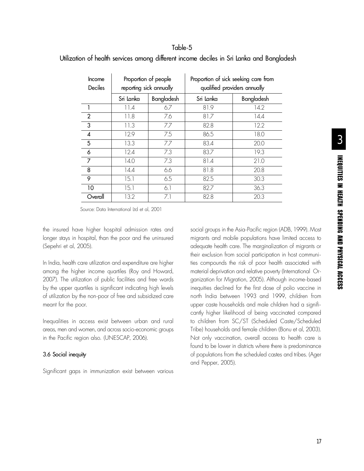#### **Table-5**

| Income<br><b>Deciles</b> | Proportion of people<br>reporting sick annually |            | Proportion of sick seeking care from<br>qualified providers annually |            |  |
|--------------------------|-------------------------------------------------|------------|----------------------------------------------------------------------|------------|--|
|                          | Sri Lanka                                       | Bangladesh | Sri Lanka                                                            | Bangladesh |  |
|                          | 11.4                                            | 6.7        | 81.9                                                                 | 14.2       |  |
| $\overline{2}$           | 11.8                                            | 7.6        | 81.7                                                                 | 14.4       |  |
| 3                        | 11.3                                            | 7.7        | 82.8                                                                 | 12.2       |  |
| 4                        | 12.9                                            | 7.5        | 86.5                                                                 | 18.0       |  |
| 5                        | 13.3                                            | 7.7        | 83.4                                                                 | 20.0       |  |
| 6                        | 12.4                                            | 7.3        | 83.7                                                                 | 19.3       |  |
| 7                        | 14.0                                            | 7.3        | 81.4                                                                 | 21.0       |  |
| 8                        | 14.4                                            | 6.6        | 81.8                                                                 | 20.8       |  |
| 9                        | 15.1                                            | 6.5        | 82.5                                                                 | 30.3       |  |
| 10                       | 15.1                                            | 6.1        | 82.7                                                                 | 36.3       |  |
| Overall                  | 13.2                                            | 7.1        | 82.8                                                                 | 20.3       |  |

**Utilization of health services among different income deciles in Sri Lanka and Bangladesh**

Source: Data International Ltd et al, 2001

the insured have higher hospital admission rates and longer stays in hospital, than the poor and the uninsured (Sepehri et al, 2005).

In India, health care utilization and expenditure are higher among the higher income quartiles (Roy and Howard, 2007). The utilization of public facilities and free wards by the upper quartiles is significant indicating high levels of utilization by the non-poor of free and subsidized care meant for the poor.

Inequalities in access exist between urban and rural areas, men and women, and across socio-economic groups in the Pacific region also. (UNESCAP, 2006).

#### **3.6 Social inequity**

Significant gaps in immunization exist between various

social groups in the Asia-Pacific region (ADB, 1999). Most migrants and mobile populations have limited access to adequate health care. The marginalization of migrants or their exclusion from social participation in host communities compounds the risk of poor health associated with material deprivation and relative poverty (International Organization for Migration, 2005). Although income-based inequities declined for the first dose of polio vaccine in north India between 1993 and 1999, children from upper caste households and male children had a significantly higher likelihood of being vaccinated compared to children from SC/ST (Scheduled Caste/Scheduled Tribe) households and female children (Bonu et al, 2003). Not only vaccination, overall access to health care is found to be lower in districts where there is predominance of populations from the scheduled castes and tribes. (Ager and Pepper, 2005).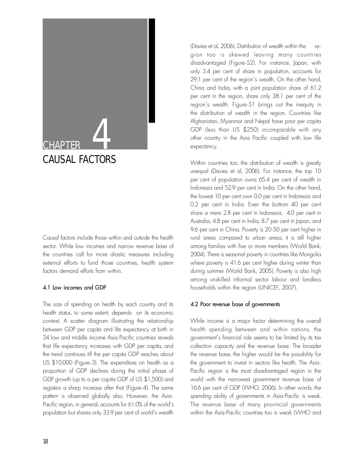

Causal factors include those within and outside the health sector. While low incomes and narrow revenue base of the countries call for more drastic measures including external efforts to fund those countries, health system factors demand efforts from within.

#### **4.1 Low incomes and GDP**

The size of spending on health by each country and its health status, to some extent, depends on its economic context. A scatter diagram illustrating the relationship between GDP per capita and life expectancy at birth in 34 low and middle income Asia-Pacific countries reveals that life expectancy increases with GDP per capita, and the trend continues till the per capita GDP reaches about US \$10,000 (Figure-3). The expenditure on health as a proportion of GDP declines during the initial phase of GDP growth (up to a per capita GDP of US \$1,500) and registers a sharp increase after that (Figure-4). The same pattern is observed globally also. However, the Asia-Pacific region, in general, accounts for 61.0% of the world's population but shares only 33.9 per cent of world's wealth

(Davies et al, 2006). Distribution of wealth within the region too is skewed leaving many countries disadvantaged (Figure-S2). For instance, Japan, with only 3.4 per cent of share in population, accounts for 29.1 per cent of the region's wealth. On the other hand, China and India, with a joint population share of 61.2 per cent in the region, share only 38.1 per cent of the region's wealth. Figure-S1 brings out the inequity in the distribution of wealth in the region. Countries like Afghanistan, Myanmar and Nepal have poor per capita GDP (less than US \$250) incomparable with any other country in the Asia Pacific coupled with low life expectancy.

Within countries too, the distribution of wealth is greatly unequal (Davies et al, 2006). For instance, the top 10 per cent of population owns 65.4 per cent of wealth in Indonesia and 52.9 per cent in India. On the other hand, the lowest 10 per cent own 0.0 per cent in Indonesia and 0.2 per cent in India. Even the bottom 40 per cent share a mere 2.8 per cent in Indonesia, 4.0 per cent in Australia, 4.8 per cent in India, 8.7 per cent in Japan, and 9.6 per cent in China. Poverty is 20-50 per cent higher in rural areas compared to urban areas; it is still higher among families with five or more members (World Bank, 2004). There is seasonal poverty in countries like Mongolia where poverty is 41.6 per cent higher during winter than during summer (World Bank, 2005). Poverty is also high among unskilled informal sector labour and landless households within the region (UNICEF, 2007).

#### **4.2 Poor revenue base of governments**

While income is a major factor determining the overall health spending between and within nations, the government's financial role seems to be limited by its tax collection capacity and the revenue base. The broader the revenue base, the higher would be the possibility for the government to invest in sectors like health. The Asia-Pacific region is the most disadvantaged region in the world with the narrowest government revenue base of 16.6 per cent of GDP (WHO, 2006). In other words, the spending ability of governments in Asia-Pacific is weak. The revenue base of many provincial governments within the Asia-Pacific countries too is weak (WHO and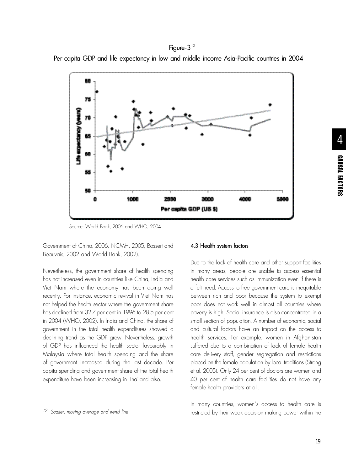#### **Figure-3**<sup>12</sup>

**Per capita GDP and life expectancy in low and middle income Asia-Pacific countries in 2004**



Source: World Bank, 2006 and WHO, 2004

Government of China, 2006, NCMH, 2005, Bossert and Beauvais, 2002 and World Bank, 2002).

Nevertheless, the government share of health spending has not increased even in countries like China, India and Viet Nam where the economy has been doing well recently. For instance, economic revival in Viet Nam has not helped the health sector where the government share has declined from 32.7 per cent in 1996 to 28.5 per cent in 2004 (WHO, 2002). In India and China, the share of government in the total health expenditures showed a declining trend as the GDP grew. Nevertheless, growth of GDP has influenced the health sector favourably in Malaysia where total health spending and the share of government increased during the last decade. Per capita spending and government share of the total health expenditure have been increasing in Thailand also.

#### **4.3 Health system factors**

Due to the lack of health care and other support facilities in many areas, people are unable to access essential health care services such as immunization even if there is a felt need. Access to free government care is inequitable between rich and poor because the system to exempt poor does not work well in almost all countries where poverty is high. Social insurance is also concentrated in a small section of population. A number of economic, social and cultural factors have an impact on the access to health services. For example, women in Afghanistan suffered due to a combination of lack of female health care delivery staff, gender segregation and restrictions placed on the female population by local traditions (Strong et al, 2005). Only 24 per cent of doctors are women and 40 per cent of health care facilities do not have any female health providers at all.

In many countries, women's access to health care is restricted by their weak decision making power within the

*<sup>12</sup> Scatter, moving average and trend line*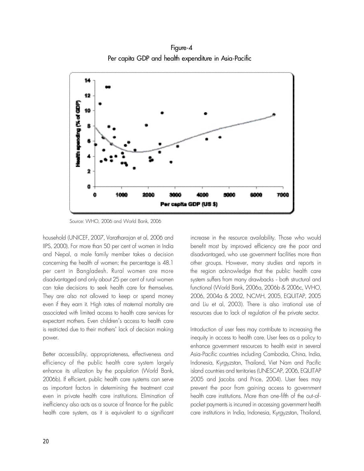**Figure-4 Per capita GDP and health expenditure in Asia-Pacific**



Source: WHO, 2006 and World Bank, 2006

household (UNICEF, 2007, Varatharajan et al, 2006 and IIPS, 2000). For more than 50 per cent of women in India and Nepal, a male family member takes a decision concerning the health of women; the percentage is 48.1 per cent in Bangladesh. Rural women are more disadvantaged and only about 25 per cent of rural women can take decisions to seek health care for themselves. They are also not allowed to keep or spend money even if they earn it. High rates of maternal mortality are associated with limited access to health care services for expectant mothers. Even children's access to health care is restricted due to their mothers' lack of decision making power.

Better accessibility, appropriateness, effectiveness and efficiency of the public health care system largely enhance its utilization by the population (World Bank, 2006b). If efficient, public health care systems can serve as important factors in determining the treatment cost even in private health care institutions. Elimination of inefficiency also acts as a source of finance for the public health care system, as it is equivalent to a significant

increase in the resource availability. Those who would benefit most by improved efficiency are the poor and disadvantaged, who use government facilities more than other groups. However, many studies and reports in the region acknowledge that the public health care system suffers from many drawbacks - both structural and functional (World Bank, 2006a, 2006b & 2006c, WHO, 2006, 2004a & 2002, NCMH, 2005, EQUITAP, 2005 and Liu et al, 2003). There is also irrational use of resources due to lack of regulation of the private sector.

Introduction of user fees may contribute to increasing the inequity in access to health care. User fees as a policy to enhance government resources to health exist in several Asia-Pacific countries including Cambodia, China, India, Indonesia, Kyrgyzstan, Thailand, Viet Nam and Pacific island countries and territories (UNESCAP, 2006, EQUITAP 2005 and Jacobs and Price, 2004). User fees may prevent the poor from gaining access to government health care institutions. More than one-fifth of the out-ofpocket payments is incurred in accessing government health care institutions in India, Indonesia, Kyrgyzstan, Thailand,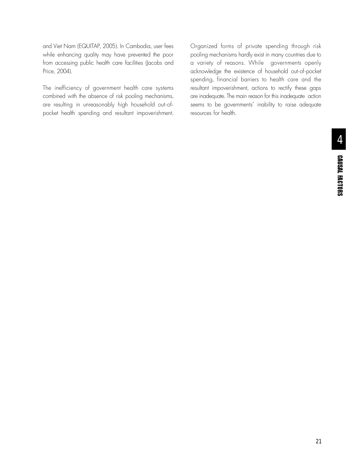and Viet Nam (EQUITAP, 2005). In Cambodia, user fees while enhancing quality may have prevented the poor from accessing public health care facilities (Jacobs and Price, 2004).

The inefficiency of government health care systems combined with the absence of risk pooling mechanisms, are resulting in unreasonably high household out-ofpocket health spending and resultant impoverishment. Organized forms of private spending through risk pooling mechanisms hardly exist in many countries due to a variety of reasons. While governments openly acknowledge the existence of household out-of-pocket spending, financial barriers to health care and the resultant impoverishment, actions to rectify these gaps are inadequate. The main reason for this inadequate action seems to be governments' inability to raise adequate resources for health.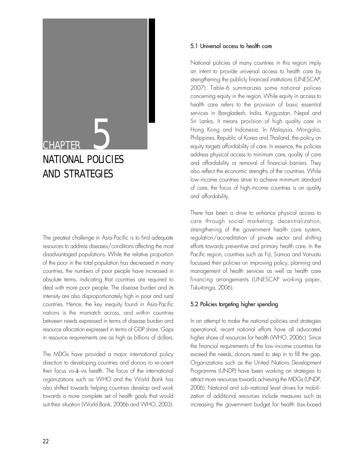# CHAPTER 5 NATIONAL POLICIES AND STRATEGIES

The greatest challenge in Asia-Pacific is to find adequate resources to address diseases/conditions affecting the most disadvantaged populations. While the relative proportion of the poor in the total population has decreased in many countries, the numbers of poor people have increased in absolute terms, indicating that countries are required to deal with more poor people. The disease burden and its intensity are also disproportionately high in poor and rural countries. Hence, the key inequity found in Asia-Pacific nations is the mismatch across, and within countries between needs expressed in terms of disease burden and resource allocation expressed in terms of GDP share. Gaps in resource requirements are as high as billions of dollars.

The MDGs have provided a major international policy direction to developing countries and donors to re-orient their focus vis-à-vis health. The focus of the international organizations such as WHO and the World Bank has also shifted towards helping countries develop and work towards a more complete set of health goals that would suit their situation (World Bank, 2006b and WHO, 2003).

#### **5.1 Universal access to health care**

National policies of many countries in this region imply an intent to provide universal access to health care by strengthening the publicly financed institutions (UNESCAP, 2007). Table-6 summarizes some national polices concerning equity in the region. While equity in access to health care refers to the provision of basic essential services in Bangladesh, India, Kyrgyzstan, Nepal and Sri Lanka, it means provision of high quality care in Hong Kong and Indonesia. In Malaysia, Mongolia, Philippines, Republic of Korea and Thailand, the policy on equity targets affordability of care. In essence, the policies address physical access to minimum care, quality of care and affordability or removal of financial barriers. They also reflect the economic strengths of the countries. While low-income countries strive to achieve minimum standard of care, the focus of high-income countries is on quality and affordability.

There has been a drive to enhance physical access to care through social marketing, decentralization, strengthening of the government health care system, regulation/accreditation of private sector and shifting efforts towards preventive and primary health care. In the Pacific region, countries such as Fiji, Samoa and Vanuatu focussed their policies on improving policy, planning and management of health services as well as health care financing arrangements (UNESCAP working paper, Tukuitonga, 2006).

#### **5.2 Policies targeting higher spending**

In an attempt to make the national policies and strategies operational, recent national efforts have all advocated higher share of resources for health (WHO, 2006c). Since the financial requirements of the low-income countries far exceed the needs, donors need to step in to fill the gap. Organizations such as the United Nations Development Programme (UNDP) have been working on strategies to attract more resources towards achieving the MDGs (UNDP, 2006). National and sub-national level drives for mobilization of additional resources include measures such as increasing the government budget for health (tax-based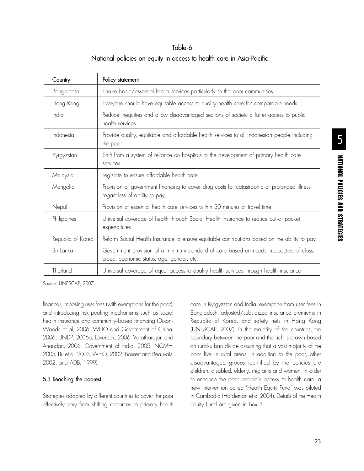# **Table-6 National policies on equity in access to health care in Asia-Pacific**

| Country           | Policy statement                                                                                                                      |
|-------------------|---------------------------------------------------------------------------------------------------------------------------------------|
| Bangladesh        | Ensure basic/essential health services particularly to the poor communities                                                           |
| Hong Kong         | Everyone should have equitable access to quality health care for comparable needs                                                     |
| India             | Reduce inequities and allow disadvantaged sections of society a fairer access to public<br>health services                            |
| Indonesia         | Provide quality, equitable and affordable health services to all Indonesian people including<br>the poor                              |
| Kyrgyzstan        | Shift from a system of reliance on hospitals to the development of primary health care<br>services                                    |
| Malaysia          | Legislate to ensure affordable health care                                                                                            |
| Mongolia          | Provision of government financing to cover drug costs for catastrophic or prolonged illness<br>regardless of ability to pay           |
| Nepal             | Provision of essential health care services within 30 minutes of travel time                                                          |
| Philippines       | Universal coverage of health through Social Health Insurance to reduce out-of pocket<br>expenditures                                  |
| Republic of Korea | Reform Social Health Insurance to ensure equitable contributions based on the ability to pay                                          |
| Sri Lanka         | Government provision of a minimum standard of care based on needs irrespective of class,<br>creed, economic status, age, gender, etc. |
| Thailand          | Universal coverage of equal access to quality health services through health insurance                                                |

Source: UNESCAP, 2007

finance), imposing user fees (with exemptions for the poor), and introducing risk pooling mechanisms such as social health insurance and community-based financing (Dixon-Woods et al, 2006, WHO and Government of China, 2006, UNDP, 2006a, Laverack, 2006, Varatharajan and Anandan, 2006, Government of India, 2005, NCMH, 2005, Liu et al, 2003, WHO, 2002, Bossert and Beauvais, 2002, and ADB, 1999).

#### **5.3 Reaching the poorest**

Strategies adopted by different countries to cover the poor effectively vary from shifting resources to primary health care in Kyrgyzstan and India, exemption from user fees in Bangladesh, adjusted/subsidized insurance premiums in Republic of Korea, and safety nets in Hong Kong (UNESCAP, 2007). In the majority of the countries, the boundary between the poor and the rich is drawn based on rural-urban divide assuming that a vast majority of the poor live in rural areas. In addition to the poor, other disadvantaged groups identified by the policies are children, disabled, elderly, migrants and women. In order to enhance the poor people's access to health care, a new intervention called 'Health Equity Fund' was piloted in Cambodia (Hardeman et al 2004). Details of the Health Equity Fund are given in Box-3.

**TV NATIONAL POLICIES AND STRATEGIES** 

23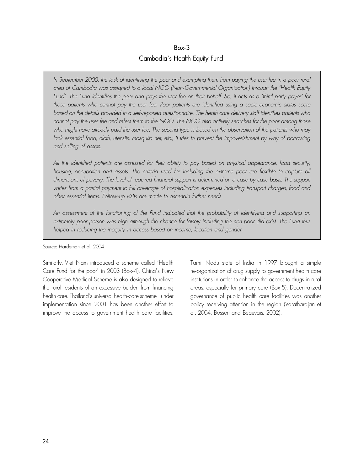## **Box-3** Cambodia's Health Equity Fund

*In September 2000, the task of identifying the poor and exempting them from paying the user fee in a poor rural* area of Cambodia was assigned to a local NGO (Non-Governmental Organization) through the *'Health Equity Fund'. The Fund identifies the poor and pays the user fee on their behalf. So, it acts as a 'third party payer' for those patients who cannot pay the user fee. Poor patients are identified using a socio-economic status score based on the details provided in a self-reported questionnaire. The heath care delivery staff identifies patients who cannot pay the user fee and refers them to the NGO. The NGO also actively searches for the poor among those who might have already paid the user fee. The second type is based on the observation of the patients who may lack essential food, cloth, utensils, mosquito net, etc.; it tries to prevent the impoverishment by way of borrowing and selling of assets.*

*All the identified patients are assessed for their ability to pay based on physical appearance, food security, housing, occupation and assets. The criteria used for including the extreme poor are flexible to capture all dimensions of poverty. The level of required financial support is determined on a case-by-case basis. The support varies from a partial payment to full coverage of hospitalization expenses including transport charges, food and other essential items. Follow-up visits are made to ascertain further needs.*

*An assessment of the functioning of the Fund indicated that the probability of identifying and supporting an extremely poor person was high although the chance for falsely including the non-poor did exist. The Fund thus helped in reducing the inequity in access based on income, location and gender.*

Source: Hardeman et al, 2004

Similarly, Viet Nam introduced a scheme called 'Health Care Fund for the poor' in 2003 (Box-4). China's New Cooperative Medical Scheme is also designed to relieve the rural residents of an excessive burden from financing health care. Thailand's universal health-care scheme under implementation since 2001 has been another effort to improve the access to government health care facilities.

Tamil Nadu state of India in 1997 brought a simple re-organization of drug supply to government health care institutions in order to enhance the access to drugs in rural areas, especially for primary care (Box-5). Decentralized governance of public health care facilities was another policy receiving attention in the region (Varatharajan et al, 2004, Bossert and Beauvais, 2002).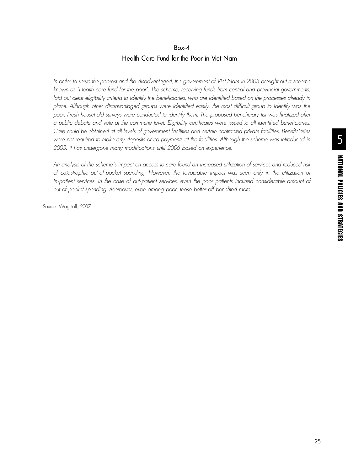# **Box-4 Health Care Fund for the Poor in Viet Nam**

*In order to serve the poorest and the disadvantaged, the government of Viet Nam in 2003 brought out a scheme* known as 'Health care fund for the poor'. The scheme, receiving funds from central and provincial governments, *laid out clear eligibility criteria to identify the beneficiaries, who are identified based on the processes already in place. Although other disadvantaged groups were identified easily, the most difficult group to identify was the poor. Fresh household surveys were conducted to identify them. The proposed beneficiary list was finalized after a public debate and vote at the commune level. Eligibility certificates were issued to all identified beneficiaries. Care could be obtained at all levels of government facilities and certain contracted private facilities. Beneficiaries were not required to make any deposits or co-payments at the facilities. Although the scheme was introduced in 2003, it has undergone many modifications until 2006 based on experience.*

*An analysis of the schemeûs impact on access to care found an increased utilization of services and reduced risk of catastrophic out-of-pocket spending. However, the favourable impact was seen only in the utilization of in-patient services. In the case of out-patient services, even the poor patients incurred considerable amount of out-of-pocket spending. Moreover, even among poor, those better-off benefited more.*

Source: Wagstaff, 2007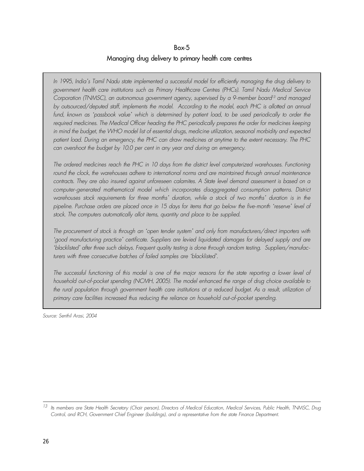# **Box-5 Managing drug delivery to primary health care centres**

*In 1995, Indiaûs Tamil Nadu state implemented a successful model for efficiently managing the drug delivery to government health care institutions such as Primary Healthcare Centres (PHCs). Tamil Nadu Medical Service Corporation (TNMSC), an autonomous government agency, supervised by a 9-member board13 and managed by outsourced/deputed staff, implements the model. According to the model, each PHC is allotted an annual* fund, known as *'passbook value' which is determined by patient load, to be used periodically to order the required medicines. The Medical Officer heading the PHC periodically prepares the order for medicines keeping in mind the budget, the WHO model list of essential drugs, medicine utilization, seasonal morbidity and expected patient load. During an emergency, the PHC can draw medicines at anytime to the extent necessary. The PHC can overshoot the budget by 10.0 per cent in any year and during an emergency.*

*The ordered medicines reach the PHC in 10 days from the district level computerized warehouses. Functioning round the clock, the warehouses adhere to international norms and are maintained through annual maintenance contracts. They are also insured against unforeseen calamites. A State level demand assessment is based on a computer-generated mathematical model which incorporates disaggregated consumption patterns. District* warehouses stock requirements for three months' duration, while a stock of two months' duration is in the pipeline. Purchase orders are placed once in 15 days for items that go below the five-month 'reserve' level of *stock. The computers automatically allot items, quantity and place to be supplied.*

*The procurement of stock is through an ùopen tender systemû and only from manufacturers/direct importers with igood manufacturing practice' certificate. Suppliers are levied liquidated damages for delayed supply and are* 'blacklisted' after three such delays. Frequent quality testing is done through random testing. Suppliers/manufacturers with three consecutive batches of failed samples are 'blacklisted'.

*The successful functioning of this model is one of the major reasons for the state reporting a lower level of household out-of-pocket spending (NCMH, 2005). The model enhanced the range of drug choice available to the rural population through government health care institutions at a reduced budget. As a result, utilization of primary care facilities increased thus reducing the reliance on household out-of-pocket spending.*

*Source: Senthil Arasi, 2004*

*<sup>13</sup> Its members are State Health Secretary (Chair person), Directors of Medical Education, Medical Services, Public Health, TNMSC, Drug Control, and RCH, Government Chief Engineer (buildings), and a representative from the state Finance Department.*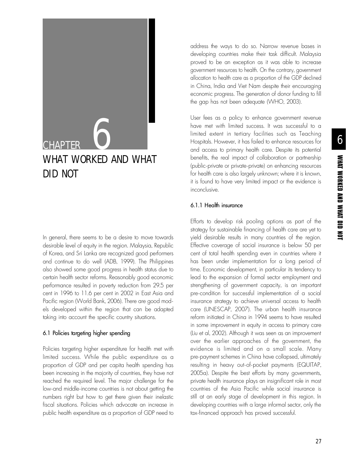

In general, there seems to be a desire to move towards desirable level of equity in the region. Malaysia, Republic of Korea, and Sri Lanka are recognized good performers and continue to do well (ADB, 1999). The Philippines also showed some good progress in health status due to certain health sector reforms. Reasonably good economic performance resulted in poverty reduction from 29.5 per cent in 1996 to 11.6 per cent in 2002 in East Asia and Pacific region (World Bank, 2006). There are good models developed within the region that can be adapted taking into account the specific country situations.

#### **6.1 Policies targeting higher spending**

Policies targeting higher expenditure for health met with limited success. While the public expenditure as a proportion of GDP and per capita health spending has been increasing in the majority of countries, they have not reached the required level. The major challenge for the low-and middle-income countries is not about getting the numbers right but how to get there given their inelastic fiscal situations. Policies which advocate an increase in public health expenditure as a proportion of GDP need to address the ways to do so. Narrow revenue bases in developing countries make their task difficult. Malaysia proved to be an exception as it was able to increase government resources to health. On the contrary, government allocation to health care as a proportion of the GDP declined in China, India and Viet Nam despite their encouraging economic progress. The generation of donor funding to fill the gap has not been adequate (WHO, 2003).

User fees as a policy to enhance government revenue have met with limited success. It was successful to a limited extent in tertiary facilities such as Teaching Hospitals. However, it has failed to enhance resources for and access to primary health care. Despite its potential benefits, the real impact of collaboration or partnership (public-private or private-private) on enhancing resources for health care is also largely unknown; where it is known, it is found to have very limited impact or the evidence is inconclusive.

#### **6.1.1 Health insurance**

Efforts to develop risk pooling options as part of the strategy for sustainable financing of health care are yet to yield desirable results in many countries of the region. Effective coverage of social insurance is below 50 per cent of total health spending even in countries where it has been under implementation for a long period of time. Economic development, in particular its tendency to lead to the expansion of formal sector employment and strengthening of government capacity, is an important pre-condition for successful implementation of a social insurance strategy to achieve universal access to health care (UNESCAP, 2007). The urban health insurance reform initiated in China in 1994 seems to have resulted in some improvement in equity in access to primary care (Liu et al, 2002). Although it was seen as an improvement over the earlier approaches of the government, the evidence is limited and on a small scale. Many pre-payment schemes in China have collapsed, ultimately resulting in heavy out-of-pocket payments (EQUITAP, 2005a). Despite the best efforts by many governments, private health insurance plays an insignificant role in most countries of the Asia Pacific while social insurance is still at an early stage of development in this region. In developing countries with a large informal sector, only the tax-financed approach has proved successful.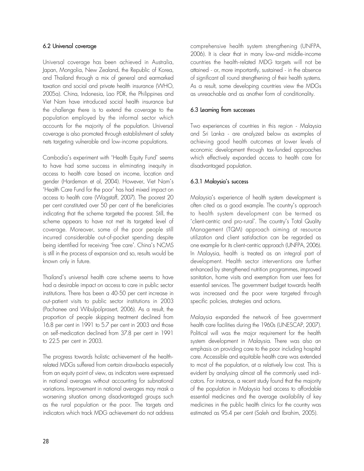#### **6.2 Universal coverage**

Universal coverage has been achieved in Australia, Japan, Mongolia, New Zealand, the Republic of Korea, and Thailand through a mix of general and earmarked taxation and social and private health insurance (WHO, 2005a). China, Indonesia, Lao PDR, the Philippines and Viet Nam have introduced social health insurance but the challenge there is to extend the coverage to the population employed by the informal sector which accounts for the majority of the population. Universal coverage is also promoted through establishment of safety nets targeting vulnerable and low-income populations.

Cambodia's experiment with 'Health Equity Fund' seems to have had some success in eliminating inequity in access to health care based on income, location and gender (Hardeman et al, 2004). However, Viet Nam's 'Health Care Fund for the poor' has had mixed impact on access to health care (Wagstaff, 2007). The poorest 20 per cent constituted over 50 per cent of the beneficiaries indicating that the scheme targeted the poorest. Still, the scheme appears to have not met its targeted level of coverage. Moreover, some of the poor people still incurred considerable out-of-pocket spending despite being identified for receiving 'free care'. China's NCMS is still in the process of expansion and so, results would be known only in future.

Thailand's universal health care scheme seems to have had a desirable impact on access to care in public sector institutions. There has been a 40-50 per cent increase in out-patient visits to public sector institutions in 2003 (Pachanee and Wibulpolprasert, 2006). As a result, the proportion of people skipping treatment declined from 16.8 per cent in 1991 to 5.7 per cent in 2003 and those on self-medication declined from 37.8 per cent in 1991 to 22.5 per cent in 2003.

The progress towards holistic achievement of the healthrelated MDGs suffered from certain drawbacks especially from an equity point of view, as indicators were expressed in national averages without accounting for subnational variations. Improvement in national averages may mask a worsening situation among disadvantaged groups such as the rural population or the poor. The targets and indicators which track MDG achievement do not address comprehensive health system strengthening (UNFPA, 2006). It is clear that in many low-and middle-income countries the health-related MDG targets will not be attained - or, more importantly, sustained - in the absence of significant all round strengthening of their health systems. As a result, some developing countries view the MDGs as unreachable and as another form of conditionality.

#### **6.3 Learning from successes**

Two experiences of countries in this region - Malaysia and Sri Lanka - are analyzed below as examples of achieving good health outcomes at lower levels of economic development through tax-funded approaches which effectively expanded access to health care for disadvantaged population.

#### **6.3.1 Malaysia's success**

Malaysia's experience of health system development is often cited as a good example. The country's approach to health system development can be termed as 'client-centric and pro-rural'. The country's Total Quality Management (TQM) approach aiming at resource utilization and client satisfaction can be regarded as one example for its client-centric approach (UNFPA, 2006). In Malaysia, health is treated as an integral part of development. Health sector interventions are further enhanced by strengthened nutrition programmes, improved sanitation, home visits and exemption from user fees for essential services. The government budget towards health was increased and the poor were targeted through specific policies, strategies and actions.

Malaysia expanded the network of free government health care facilities during the 1960s (UNESCAP, 2007). Political will was the major requirement for the health system development in Malaysia. There was also an emphasis on providing care to the poor including hospital care. Accessible and equitable health care was extended to most of the population, at a relatively low cost. This is evident by analysing almost all the commonly used indicators. For instance, a recent study found that the majority of the population in Malaysia had access to affordable essential medicines and the average availability of key medicines in the public health clinics for the country was estimated as 95.4 per cent (Saleh and Ibrahim, 2005).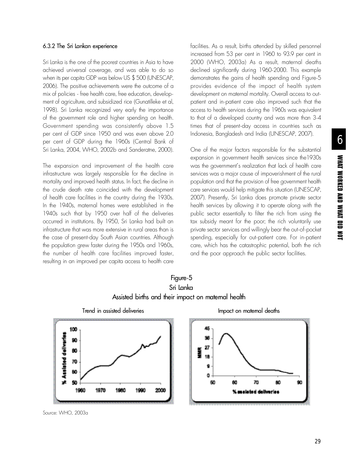#### **6.3.2 The Sri Lankan experience**

Sri Lanka is the one of the poorest countries in Asia to have achieved universal coverage, and was able to do so when its per capita GDP was below US \$ 500 (UNESCAP, 2006). The positive achievements were the outcome of a mix of policies - free health care, free education, development of agriculture, and subsidized rice (Gunatilleke et al, 1998). Sri Lanka recognized very early the importance of the government role and higher spending on health. Government spending was consistently above 1.5 per cent of GDP since 1950 and was even above 2.0 per cent of GDP during the 1960s (Central Bank of Sri Lanka, 2004, WHO, 2002b and Sanderatne, 2000).

The expansion and improvement of the health care infrastructure was largely responsible for the decline in mortality and improved health status. In fact, the decline in the crude death rate coincided with the development of health care facilities in the country during the 1930s. In the 1940s, maternal homes were established in the 1940s such that by 1950 over half of the deliveries occurred in institutions. By 1950, Sri Lanka had built an infrastructure that was more extensive in rural areas than is the case of present-day South Asian countries. Although the population grew faster during the 1950s and 1960s, the number of health care facilities improved faster, resulting in an improved per capita access to health care facilities. As a result, births attended by skilled personnel increased from 53 per cent in 1960 to 93.9 per cent in 2000 (WHO, 2003a) As a result, maternal deaths declined significantly during 1960-2000. This example demonstrates the gains of health spending and Figure-5 provides evidence of the impact of health system development on maternal mortality. Overall access to outpatient and in-patient care also improved such that the access to health services during the 1960s was equivalent to that of a developed country and was more than 3-4 times that of present-day access in countries such as Indonesia, Bangladesh and India (UNESCAP, 2007).

One of the major factors responsible for the substantial expansion in government health services since the1930s was the government's realization that lack of health care services was a major cause of impoverishment of the rural population and that the provision of free government health care services would help mitigate this situation (UNESCAP, 2007). Presently, Sri Lanka does promote private sector health services by allowing it to operate along with the public sector essentially to filter the rich from using the tax subsidy meant for the poor; the rich voluntarily use private sector services and willingly bear the out-of-pocket spending, especially for out-patient care. For in-patient care, which has the catastrophic potential, both the rich and the poor approach the public sector facilities.



**Figure-5**



Source: WHO, 2003a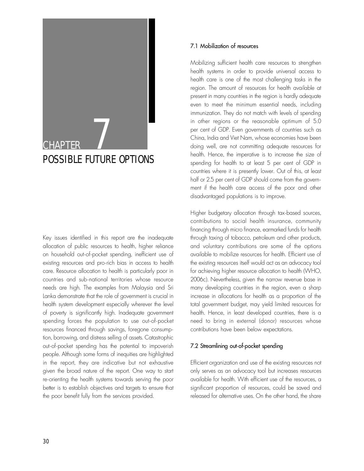

Key issues identified in this report are the inadequate allocation of public resources to health, higher reliance on household out-of-pocket spending, inefficient use of existing resources and pro-rich bias in access to health care. Resource allocation to health is particularly poor in countries and sub-national territories whose resource needs are high. The examples from Malaysia and Sri Lanka demonstrate that the role of government is crucial in health system development especially wherever the level of poverty is significantly high. Inadequate government spending forces the population to use out-of-pocket resources financed through savings, foregone consumption, borrowing, and distress selling of assets. Catastrophic out-of-pocket spending has the potential to impoverish people. Although some forms of inequities are highlighted in the report, they are indicative but not exhaustive given the broad nature of the report. One way to start re-orienting the health systems towards serving the poor better is to establish objectives and targets to ensure that the poor benefit fully from the services provided.

#### **7.1 Mobilization of resources**

Mobilizing sufficient health care resources to strengthen health systems in order to provide universal access to health care is one of the most challenging tasks in the region. The amount of resources for health available at present in many countries in the region is hardly adequate even to meet the minimum essential needs, including immunization. They do not match with levels of spending in other regions or the reasonable optimum of 5.0 per cent of GDP. Even governments of countries such as China, India and Viet Nam, whose economies have been doing well, are not committing adequate resources for health. Hence, the imperative is to increase the size of spending for health to at least 5 per cent of GDP in countries where it is presently lower. Out of this, at least half or 2.5 per cent of GDP should come from the government if the health care access of the poor and other disadvantaged populations is to improve.

Higher budgetary allocation through tax-based sources, contributions to social health insurance, community financing through micro finance, earmarked funds for health through taxing of tobacco, petroleum and other products, and voluntary contributions are some of the options available to mobilize resources for health. Efficient use of the existing resources itself would act as an advocacy tool for achieving higher resource allocation to health (WHO, 2006c). Nevertheless, given the narrow revenue base in many developing countries in the region, even a sharp increase in allocations for health as a proportion of the total government budget, may yield limited resources for health. Hence, in least developed countries, there is a need to bring in external (donor) resources whose contributions have been below expectations.

#### **7.2 Streamlining out-of-pocket spending**

Efficient organization and use of the existing resources not only serves as an advocacy tool but increases resources available for health. With efficient use of the resources, a significant proportion of resources, could be saved and released for alternative uses. On the other hand, the share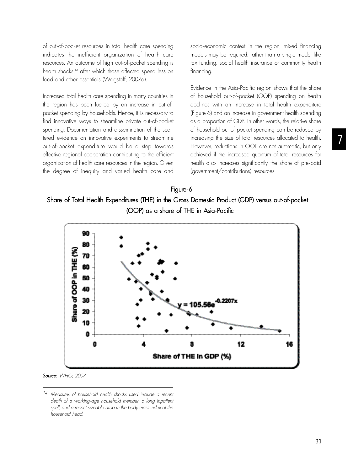of out-of-pocket resources in total health care spending indicates the inefficient organization of health care resources. An outcome of high out-of-pocket spending is health shocks,<sup>14</sup> after which those affected spend less on food and other essentials (Wagstaff, 2007a).

Increased total health care spending in many countries in the region has been fuelled by an increase in out-ofpocket spending by households. Hence, it is necessary to find innovative ways to streamline private out-of-pocket spending. Documentation and dissemination of the scattered evidence on innovative experiments to streamline out-of-pocket expenditure would be a step towards effective regional cooperation contributing to the efficient organization of health care resources in the region. Given the degree of inequity and varied health care and socio-economic context in the region, mixed financing models may be required, rather than a single model like tax funding, social health insurance or community health financing.

Evidence in the Asia-Pacific region shows that the share of household out-of-pocket (OOP) spending on health declines with an increase in total health expenditure (Figure 6) and an increase in government health spending as a proportion of GDP. In other words, the relative share of household out-of-pocket spending can be reduced by increasing the size of total resources allocated to health. However, reductions in OOP are not automatic, but only achieved if the increased quantum of total resources for health also increases significantly the share of pre-paid (government/contributions) resources.

#### **Figure-6**

**Share of Total Health Expenditures (THE) in the Gross Domestic Product (GDP) versus out-of-pocket (OOP) as a share of THE in Asia-Pacific**



*Source: WHO, 2007*

*<sup>14</sup> Measures of household health shocks used include a recent death of a working-age household member, a long inpatient spell, and a recent sizeable drop in the body mass index of the household head.*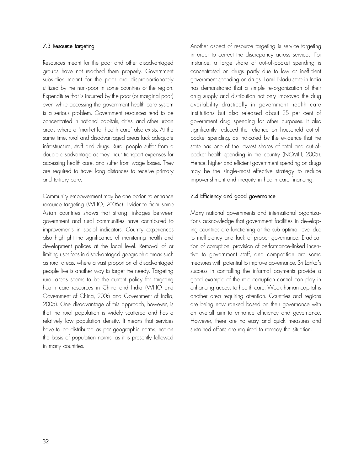#### **7.3 Resource targeting**

Resources meant for the poor and other disadvantaged groups have not reached them properly. Government subsidies meant for the poor are disproportionately utilized by the non-poor in some countries of the region. Expenditure that is incurred by the poor (or marginal poor) even while accessing the government health care system is a serious problem. Government resources tend to be concentrated in national capitals, cities, and other urban areas where a 'market for health care' also exists. At the same time, rural and disadvantaged areas lack adequate infrastructure, staff and drugs. Rural people suffer from a double disadvantage as they incur transport expenses for accessing health care, and suffer from wage losses. They are required to travel long distances to receive primary and tertiary care.

Community empowerment may be one option to enhance resource targeting (WHO, 2006c). Evidence from some Asian countries shows that strong linkages between government and rural communities have contributed to improvements in social indicators. Country experiences also highlight the significance of monitoring health and development polices at the local level. Removal of or limiting user fees in disadvantaged geographic areas such as rural areas, where a vast proportion of disadvantaged people live is another way to target the needy. Targeting rural areas seems to be the current policy for targeting health care resources in China and India (WHO and Government of China, 2006 and Government of India, 2005). One disadvantage of this approach, however, is that the rural population is widely scattered and has a relatively low population density. It means that services have to be distributed as per geographic norms, not on the basis of population norms, as it is presently followed in many countries.

Another aspect of resource targeting is service targeting in order to correct the discrepancy across services. For instance, a large share of out-of-pocket spending is concentrated on drugs partly due to low or inefficient government spending on drugs. Tamil Nadu state in India has demonstrated that a simple re-organization of their drug supply and distribution not only improved the drug availability drastically in government health care institutions but also released about 25 per cent of government drug spending for other purposes. It also significantly reduced the reliance on household out-ofpocket spending, as indicated by the evidence that the state has one of the lowest shares of total and out-ofpocket health spending in the country (NCMH, 2005). Hence, higher and efficient government spending on drugs may be the single-most effective strategy to reduce impoverishment and inequity in health care financing.

#### **7.4 Efficiency and good governance**

Many national governments and international organizations acknowledge that government facilities in developing countries are functioning at the sub-optimal level due to inefficiency and lack of proper governance. Eradication of corruption, provision of performance-linked incentive to government staff, and competition are some measures with potential to improve governance. Sri Lanka's success in controlling the informal payments provide a good example of the role corruption control can play in enhancing access to health care. Weak human capital is another area requiring attention. Countries and regions are being now ranked based on their governance with an overall aim to enhance efficiency and governance. However, there are no easy and quick measures and sustained efforts are required to remedy the situation.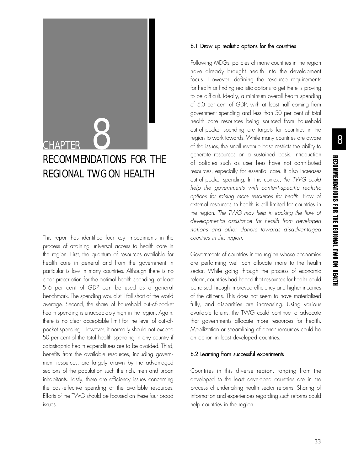

This report has identified four key impediments in the process of attaining universal access to health care in the region. First, the quantum of resources available for health care in general and from the government in particular is low in many countries. Although there is no clear prescription for the optimal health spending, at least 5-6 per cent of GDP can be used as a general benchmark. The spending would still fall short of the world average. Second, the share of household out-of-pocket health spending is unacceptably high in the region. Again, there is no clear acceptable limit for the level of out-ofpocket spending. However, it normally should not exceed 50 per cent of the total health spending in any country if catastrophic health expenditures are to be avoided. Third, benefits from the available resources, including government resources, are largely drawn by the advantaged sections of the population such the rich, men and urban inhabitants. Lastly, there are efficiency issues concerning the cost-effective spending of the available resources. Efforts of the TWG should be focused on these four broad issues.

#### **8.1 Draw up realistic options for the countries**

Following MDGs, policies of many countries in the region have already brought health into the development focus. However, defining the resource requirements for health or finding realistic options to get there is proving to be difficult. Ideally, a minimum overall health spending of 5.0 per cent of GDP, with at least half coming from government spending and less than 50 per cent of total health care resources being sourced from household out-of-pocket spending are targets for countries in the region to work towards. While many countries are aware of the issues, the small revenue base restricts the ability to generate resources on a sustained basis. Introduction of policies such as user fees have not contributed resources, especially for essential care. It also increases out-of-pocket spending. In this context, *the TWG could help the governments with context-specific realistic options for raising more resources for health.* Flow of external resources to health is still limited for countries in the region. *The TWG may help in tracking the flow of developmental assistance for health from developed nations and other donors towards disadvantaged countries in this region.*

Governments of countries in the region whose economies are performing well can allocate more to the health sector. While going through the process of economic reform, countries had hoped that resources for health could be raised through improved efficiency and higher incomes of the citizens. This does not seem to have materialised fully, and disparities are increasing. Using various available forums, the TWG could continue to advocate that governments allocate more resources for health. Mobilization or streamlining of donor resources could be an option in least developed countries.

#### **8.2 Learning from successful experiments**

Countries in this diverse region, ranging from the developed to the least developed countries are in the process of undertaking health sector reforms. Sharing of information and experiences regarding such reforms could help countries in the region.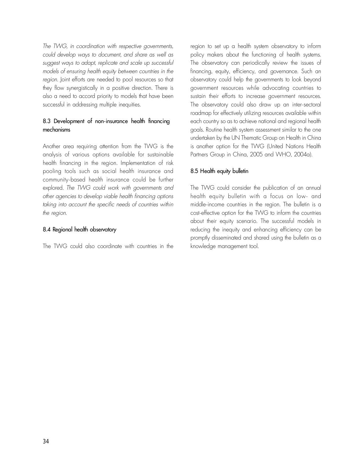*The TWG, in coordination with respective governments, could develop ways to document, and share as well as suggest ways to adapt, replicate and scale up successful models of ensuring health equity between countries in the region.* Joint efforts are needed to pool resources so that they flow synergistically in a positive direction. There is also a need to accord priority to models that have been successful in addressing multiple inequities.

#### **8.3 Development of non-insurance health financing mechanisms**

Another area requiring attention from the TWG is the analysis of various options available for sustainable health financing in the region. Implementation of risk pooling tools such as social health insurance and community-based health insurance could be further explored. *The TWG could work with governments and other agencies to develop viable health financing options taking into account the specific needs of countries within the region.*

#### **8.4 Regional health observatory**

The TWG could also coordinate with countries in the

region to set up a health system observatory to inform policy makers about the functioning of health systems. The observatory can periodically review the issues of financing, equity, efficiency, and governance. Such an observatory could help the governments to look beyond government resources while advocating countries to sustain their efforts to increase government resources. The observatory could also draw up an inter-sectoral roadmap for effectively utilizing resources available within each country so as to achieve national and regional health goals. Routine health system assessment similar to the one undertaken by the UN Thematic Group on Health in China is another option for the TWG (United Nations Health Partners Group in China, 2005 and WHO, 2004a).

#### **8.5 Health equity bulletin**

The TWG could consider the publication of an annual health equity bulletin with a focus on low- and middle-income countries in the region. The bulletin is a cost-effective option for the TWG to inform the countries about their equity scenario. The successful models in reducing the inequity and enhancing efficiency can be promptly disseminated and shared using the bulletin as a knowledge management tool.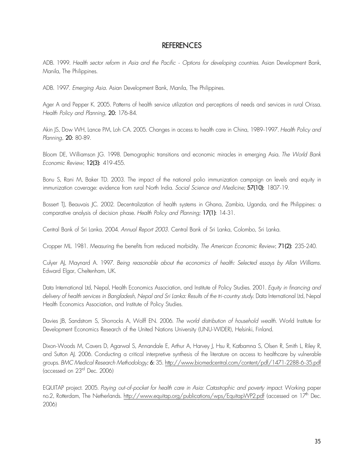#### **REFERENCES**

ADB. 1999. *Health sector reform in Asia and the Pacific - Options for developing countries*. Asian Development Bank, Manila, The Philippines.

ADB. 1997. *Emerging Asia*. Asian Development Bank, Manila, The Philippines.

Ager A and Pepper K. 2005. Patterns of health service utilization and perceptions of needs and services in rural Orissa. *Health Policy and Planning*, **20:** 176-84.

Akin JS, Dow WH, Lance PM, Loh CA. 2005. Changes in access to health care in China, 1989-1997. *Health Policy and Planning*, **20:** 80-89.

Bloom DE, Williamson JG. 1998. Demographic transitions and economic miracles in emerging Asia. *The World Bank Economic Review*; **12(3):** 419-455.

Bonu S, Rani M, Baker TD. 2003. The impact of the national polio immunization campaign on levels and equity in immunization coverage: evidence from rural North India. *Social Science and Medicine;* **57(10):** 1807-19.

Bossert TJ, Beauvais JC. 2002. Decentralization of health systems in Ghana, Zambia, Uganda, and the Philippines: a comparative analysis of decision phase. *Health Policy and Planning;* **17(1):** 14-31.

Central Bank of Sri Lanka. 2004. *Annual Report 2003*. Central Bank of Sri Lanka, Colombo, Sri Lanka.

Cropper ML. 1981. Measuring the benefits from reduced morbidity. *The American Economic Review*; **71(2):** 235-240.

Culyer AJ, Maynard A. 1997. *Being reasonable about the economics of health: Selected essays by Allan Williams*. Edward Elgar, Cheltenham, UK.

Data International Ltd, Nepal, Health Economics Association, and Institute of Policy Studies. 2001. *Equity in financing and delivery of health services in Bangladesh, Nepal and Sri Lanka: Results of the tri-country study*. Data International Ltd, Nepal Health Economics Association, and Institute of Policy Studies.

Davies JB, Sandstrom S, Shorrocks A, Wolff EN. 2006. *The world distribution of household wealth*. World Institute for Development Economics Research of the United Nations University (UNU-WIDER), Helsinki, Finland.

Dixon-Woods M, Cavers D, Agarwal S, Annandale E, Arthur A, Harvey J, Hsu R, Katbamna S, Olsen R, Smith L, Riley R, and Sutton AJ. 2006. Conducting a critical interpretive synthesis of the literature on access to healthcare by vulnerable groups. *BMC Medical Research Methodology;***6:** 35. http://www.biomedcentral.com/content/pdf/1471-2288-6-35.pdf (accessed on 23rd Dec. 2006)

EQUITAP project. 2005. *Paying out-of-pocket for health care in Asia: Catastrophic and poverty impact*. Working paper no.2, Rotterdam, The Netherlands. http://www.equitap.org/publications/wps/EquitapWP2.pdf (accessed on 17<sup>th</sup> Dec. 2006)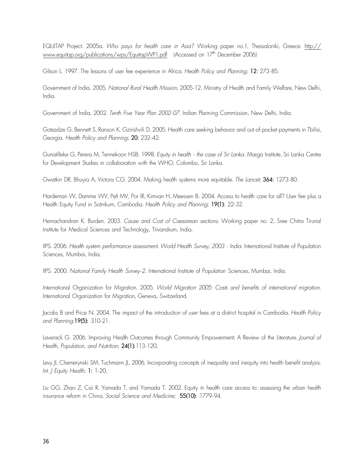EQUITAP Project. 2005a. *Who pays for health care in Asia?* Working paper no.1, Thessaloniki, Greece. http:// www.equitap.org/publications/wps/EquitapWP1.pdf (Accessed on 17<sup>th</sup> December 2006)

Gilson L. 1997. The lessons of user fee experience in Africa. *Health Policy and Planning;* **12**: 273-85.

Government of India. 2005. *National Rural Health Mission*, 2005-12. Ministry of Health and Family Welfare, New Delhi, India.

Government of India. 2002. *Tenth Five Year Plan 2002-07*. Indian Planning Commission, New Delhi, India.

Gotsadze G, Bennett S, Ranson K, Gzirishvili D. 2005. Health care seeking behavior and out-of-pocket payments in Tbilisi, Georgia. *Health Policy and Planning*; **20:** 232-42.

Gunatilleke G, Perera M, Tennekoon HSB. 1998. *Equity in health - the case of Sri Lanka*. Marga Institute, Sri Lanka Centre for Development Studies in collaboration with the WHO, Colombo, Sri Lanka.

Gwatkin DR, Bhuyia A, Victora CG. 2004. Making health systems more equitable. *The Lancet;* **364:** 1273-80.

Hardeman W, Damme WV, Pelt MV, Por IR, Kimvan H, Meessen B. 2004. Access to health care for all? User fee plus a Health Equity Fund in Sotnikum, Cambodia. *Health Policy and Planning;* **19(1):** 22-32.

Hemachandran K. Burden. 2003. *Cause and Cost of Caesarean sections*. Working paper no. 2, Sree Chitra Tirunal Institute for Medical Sciences and Technology, Trivandrum, India.

IIPS. 2006. *Health system performance assessment. World Health Survey, 2003 - India.* International Institute of Population Sciences, Mumbai, India.

IIPS. 2000. *National Family Health Survey-2.* International Institute of Population Sciences, Mumbai, India.

International Organization for Migration. 2005. *World Migration 2005: Costs and benefits of international migration*. International Organization for Migration, Geneva, Switzerland.

Jacobs B and Price N. 2004. The impact of the introduction of user fees at a district hospital in Cambodia. *Health Policy and Planning;***19(5):** 310-21.

Laverack G. 2006. Improving Health Outcomes through Community Empowerment: A Review of the Literature. *Journal of Health, Population, and Nutrition;* **24(1):**113-120.

Levy JI, Chemerynski SM, Tuchmann JL. 2006. Incorporating concepts of inequality and inequity into health benefit analysis. *Int. J Equity Health;* **1:** 1-20.

Liu GG, Zhao Z, Cai R, Yamada T, and Yamada T. 2002. Equity in health care access to: assessing the urban health insurance reform in China. *Social Science and Medicine;* **55(10):** 1779-94.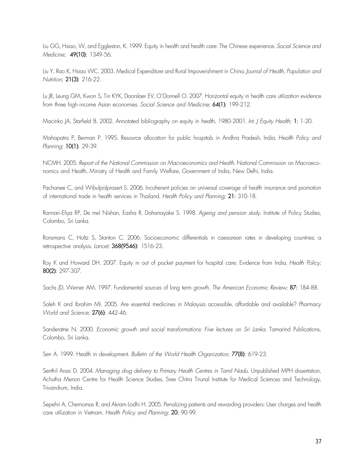Liu GG, Hsiao, W, and Eggleston, K. 1999. Equity in health and health care: The Chinese experience. *Social Science and Medicine;* **49(10):** 1349-56.

Liu Y, Rao K, Hsiao WC. 2003. Medical Expenditure and Rural Impoverishment in China. *Journal of Health, Population and Nutrition;* **21(3):** 216-22.

Lu JR, Leung GM, Kwon S, Tin KYK, Doorslaer EV, O'Donnell O. 2007. Horizontal equity in health care utilization evidence from three high-income Asian economies. *Social Science and Medicine;* **64(1):** 199-212.

Macinko JA, Starfield B. 2002. Annotated bibliography on equity in health, 1980-2001. *Int. J Equity Health;* **1:** 1-20.

Mahapatra P, Berman P. 1995. Resource allocation for public hospitals in Andhra Pradesh, India. *Health Policy and Planning;* **10(1):** 29-39.

NCMH. 2005. *Report of the National Commission on Macroeconomics and Health.* National Commission on Macroeconomics and Health, Ministry of Health and Family Welfare, Government of India, New Delhi, India.

Pachanee C, and Wibulpolprasert S. 2006. Incoherent policies on universal coverage of health insurance and promotion of international trade in health services in Thailand. *Health Policy and Planning;* **21:** 310-18.

Rannan-Eliya RP, De mel Nishan, Easha R, Dahanayake S. 1998. *Ageing and pension study*. Institute of Policy Studies, Colombo, Sri Lanka.

Ronsmans C, Holtz S, Stanton C. 2006. Socioeconomic differentials in caesarean rates in developing countries: a retrospective analysis. *Lancet;* **368(9546):** 1516-23.

Roy K and Howard DH. 2007. Equity in out of pocket payment for hospital care: Evidence from India. *Health Policy;* **80(2):** 297-307.

Sachs JD, Werner AM. 1997. Fundamental sources of long term growth. *The American Economic Review;* **87:** 184-88.

Saleh K and Ibrahim MI. 2005. Are essential medicines in Malaysia accessible, affordable and available? *Pharmacy World and Science;* **27(6):** 442-46.

Sanderatne N. 2000. *Economic growth and social transformations: Five lectures on Sri Lanka*. Tamarind Publications, Colombo, Sri Lanka.

Sen A. 1999. Health in development. *Bulletin of the World Health Organization;* **77(8):** 619-23.

Senthil Arasi D. 2004. *Managing drug delivery to Primary Health Centres in Tamil Nadu.* Unpublished MPH dissertation, Achutha Menon Centre for Health Science Studies, Sree Chitra Tirunal Institute for Medical Sciences and Technology, Trivandrum, India.

Sepehri A, Chernomas R, and Akram-Lodhi H. 2005. Penalizing patients and rewarding providers: User charges and health care utilization in Vietnam. *Health Policy and Planning;* **20:** 90-99.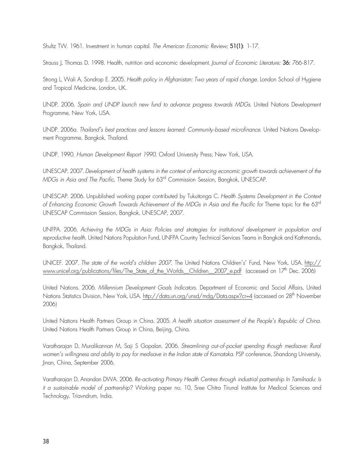Shultz TW. 1961. Investment in human capital. *The American Economic Review;* **51(1):** 1-17.

Strauss J, Thomas D. 1998. Health, nutrition and economic development. *Journal of Economic Literature;* **36:** 766-817.

Strong L, Wali A, Sondrop E. 2005. *Health policy in Afghanistan: Two years of rapid change.* London School of Hygiene and Tropical Medicine, London, UK.

UNDP. 2006. *Spain and UNDP launch new fund to advance progress towards MDGs.* United Nations Development Programme, New York, USA.

UNDP. 2006a. *Thailand's best practices and lessons learned: Community-based microfinance*. United Nations Development Programme, Bangkok, Thailand.

UNDP. 1990. *Human Development Report 1990.* Oxford University Press; New York, USA.

UNESCAP. 2007. *Development of health systems in the context of enhancing economic growth towards achievement of the MDGs in Asia and The Pacific,* Theme Study for 63rd Commission Session, Bangkok, UNESCAP.

UNESCAP. 2006. Unpublished working paper contributed by Tukuitonga C. *Health Systems Development in the Context of Enhancing Economic Growth Towards Achievement of the MDGs in Asia and the Pacific for* Theme topic for the 63rd UNESCAP Commission Session, Bangkok, UNESCAP, 2007.

UNFPA. 2006. *Achieving the MDGs in Asia: Policies and strategies for institutional development in population and reproductive health.* United Nations Population Fund, UNFPA Country Technical Services Teams in Bangkok and Kathmandu, Bangkok, Thailand.

UNICEF. 2007. *The state of the world's children 2007*. The United Nations Children's' Fund, New York, USA. http:// www.unicef.org/publications/files/The\_State\_of\_the\_Worlds\_\_Children\_\_2007\_e.pdf (accessed on 17<sup>th</sup> Dec. 2006)

United Nations. 2006. *Millennium Development Goals Indicators.* Department of Economic and Social Affairs, United Nations Statistics Division, New York, USA. http://data.un.org/unsd/mdg/Data.aspx?cr=4 (accessed on 28<sup>th</sup> November 2006)

United Nations Health Partners Group in China. 2005. A health situation assessment of the People's Republic of China. United Nations Health Partners Group in China, Beijing, China.

Varatharajan D, Muralikannan M, Saji S Gopalan. 2006. *Streamlining out-of-pocket spending though medisave: Rural womenûs willingness and ability to pay for medisave in the Indian state of Karnataka.* PSP conference, Shandong University, Jinan, China, September 2006.

Varatharajan D, Anandan DWA. 2006. *Re-activating Primary Health Centres through industrial partnership In Tamilnadu: Is it a sustainable model of partnership?* Working paper no. 10, Sree Chitra Tirunal Institute for Medical Sciences and Technology, Triavndrum, India.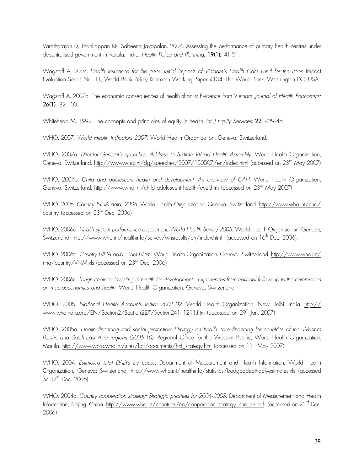Varatharajan D, Thankappan KR, Sabeena Jayapalan. 2004. Assessing the performance of primary health centres under decentralised government in Kerala, India. *Health Policy and Planning;* **19(1):** 41-51.

Wagstaff A. 2007. *Health insurance for the poor: Initial impacts of Vietnam's Health Care Fund for the Poor.* Impact Evaluation Series No. 11, World Bank Policy Research Working Paper 4134, The World Bank, Washington DC, USA.

Wagstaff A. 2007a. The economic consequences of health shocks: Evidence from Vietnam. *Journal of Health Economics;* **26(1):** 82-100.

Whitehead M. 1992. The concepts and principles of equity in health. *Int. J Equity Services;* **22:** 429-45.

WHO. 2007. *World Health Indicators 2007*. World Health Organization, Geneva, Switzerland.

WHO. 2007a. *Director-General's speeches: Address to Sixtieth World Health Assembly.* World Health Organization, Geneva, Switzerland. http://www.who.int/dg/speeches/2007/150507/en/index.html (accessed on 23rd May 2007)

WHO. 2007b. *Child and adolescent health and development: An overview of CAH.* World Health Organization, Geneva, Switzerland. http://www.who.int/child-adolescent-health/over.htm (accessed on 23<sup>rd</sup> May 2007)

WHO. 2006. *Country NHA data, 2006.* World Health Organization, Geneva, Switzerland. http://www.who.int/nha/ country (accessed on 23<sup>rd</sup> Dec. 2006)

WHO. 2006a. *Health system performance assessment: World Health Survey 2003.* World Health Organization, Geneva, Switzerland. http://www.who.int/healthinfo/survey/whsresults/en/index.html (accessed on 16<sup>th</sup> Dec. 2006).

WHO. 2006b. *Country NHA data - Viet Nam.* World Health Organization, Geneva, Switzerland. http://www.who.int/ nha/country/VNM.xls (accessed on 23rd Dec. 2006)

WHO. 2006c. *Tough choices: Investing in health for development - Experiences from national follow-up to the commission on macroeconomics and health.* World Health Organization, Geneva, Switzerland.

WHO. 2005. *National Health Accounts India: 2001-02.* World Health Organization, New Delhi, India. http:// www.whoindia.org/EN/Section2/Section227/Section241\_1211.htm (accessed on 29<sup>th</sup> Jan. 2007)

WHO. 2005a. *Health financing and social protection: Strategy on health care financing for countries of the Western Pacific and South-East Asia regions (2006-10).* Regional Office for the Western Pacific, World Health Organization, Manila. http://www.wpro.who.int/sites/hcf/documents/hcf\_strategy.htm (accessed on 11<sup>th</sup> May 2007)

WHO. 2004. *Estimated total DALYs by cause.* Department of Measurement and Health Information, World Health Organization, Geneva; Switzerland. http://www.who.int/healthinfo/statistics/bodgbddeathdalyestimates.xls (accessed on  $17^{th}$  Dec. 2006)

WHO. 2004a. *Country cooperation strategy: Strategic priorities for 2004-2008.* Department of Measurement and Health Information, Beijing, China. http://www.who.int/countries/en/cooperation\_strategy\_chn\_en.pdf (accessed on 23<sup>rd</sup> Dec. 2006)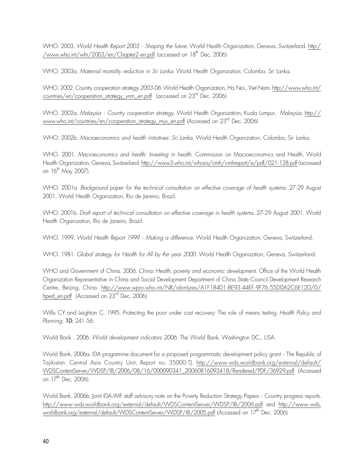WHO. 2003. *World Health Report 2003 - Shaping the future*. World Health Organization, Geneva, Switzerland. http:/ /www.who.int/whr/2003/en/Chapter2-en.pdf (accessed on  $18^{\text{th}}$  Dec. 2006)

WHO. 2003a. *Maternal mortality reduction in Sri Lanka.* World Health Organization; Colombo, Sri Lanka.

WHO. 2002. *Country cooperation strategy 2003-06.* World Health Organization, Ha Noi., Viet Nam. http://www.who.int/ countries/en/cooperation\_strategy\_vnm\_en.pdf (accessed on 23<sup>rd</sup> Dec. 2006)

WHO. 2002a. *Malaysia - Country cooperation strategy.* World Health Organization, Kuala Lumpur, Malaysia. http:// www.who.int/countries/en/cooperation\_strategy\_mys\_en.pdf (Accessed on 23<sup>rd</sup> Dec. 2006)

WHO. 2002b. *Macroeconomics and health initiatives: Sri Lanka.* World Health Organization, Colombo, Sri Lanka.

WHO. 2001. *Macroeconomics and health: Investing in health.* Commission on Macroeconomics and Health, World Health Organization, Geneva, Switzerland. http://www3.who.int/whosis/cmh/cmhreport/e/pdf/021-128.pdf (accessed on  $16^{th}$  May 2007).

WHO. 2001a. *Background paper for the technical consultation on effective coverage of health systems.* 27-29 August 2001, World Health Organization, Rio de Janeiro, Brazil.

WHO. 2001b. *Draft report of technical consultation on effective coverage in health systems.* 27-29 August 2001. World Health Organization, Rio de Janeiro, Brazil.

WHO. 1999. *World Health Report 1999 - Making a difference*. World Health Organization, Geneva, Switzerland.

WHO. 1981. *Global strategy for Health for All by the year 2000.* World Health Organization, Geneva, Switzerland.

WHO and Government of China. 2006. *China: Health, poverty and economic development.* Office of the World Health Organization Representative in China and Social Development Department of China State Council Development Research Centre, Beijing, China. http://www.wpro.who.int/NR/rdonlyres/A1F18401-BE93-44EF-9F76-55DDA2C6E12D/0/ hped\_en.pdf (Accessed on 23<sup>rd</sup> Dec. 2006)

Willis CY and Leighton C. 1995. Protecting the poor under cost recovery: The role of means testing. *Health Policy and Planning;* **10:** 241-56.

World Bank . 2006. *World development indicators 2006.* The World Bank, Washington DC., USA.

World Bank. 2006a. IDA programme document for a proposed programmatic development policy grant - The Republic of Tajikistan. Central Asia Country Unit, Report no. 35000-TJ. http://www-wds.worldbank.org/external/default/ WDSContentServer/WDSP/IB/2006/08/16/000090341\_20060816092418/Rendered/PDF/36929.pdf (Accessed on 17<sup>th</sup> Dec. 2006).

World Bank. 2006b. Joint IDA-IMF staff advisory note on the Poverty Reduction Strategy Papers - Country progress reports. http://www-wds.worldbank.org/external/default/WDSContentServer/WDSP/IB/2006.pdf and http://www-wds. worldbank.org/external/default/WDSContentServer/WDSP/IB/2005.pdf (Accessed on 17<sup>th</sup> Dec. 2006)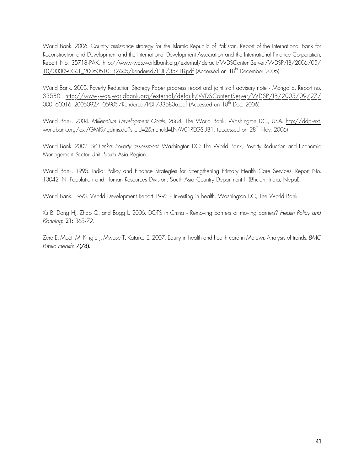World Bank. 2006. Country assistance strategy for the Islamic Republic of Pakistan. Report of the International Bank for Reconstruction and Development and the International Development Association and the International Finance Corporation, Report No. 35718-PAK. http://www-wds.worldbank.org/external/default/WDSContentServer/WDSP/IB/2006/05/ 10/000090341\_20060510132445/Rendered/PDF/35718.pdf (Accessed on 18<sup>th</sup> December 2006)

World Bank. 2005. Poverty Reduction Strategy Paper progress report and joint staff advisory note - Mongolia. Report no. 33580. http://www-wds.worldbank.org/external/default/WDSContentServer/WDSP/IB/2005/09/27/ 000160016\_20050927105905/Rendered/PDF/33580a.pdf (Accessed on 18<sup>th</sup> Dec. 2006).

World Bank. 2004. *Millennium Development Goals, 2004.* The World Bank, Washington DC., USA. http://ddp-ext. worldbank.org/ext/GMIS/gdmis.do?siteId=2&menuId=LNAV01REGSUB1, (accessed on 28<sup>th</sup> Nov. 2006)

World Bank. 2002. *Sri Lanka: Poverty assessment.* Washington DC: The World Bank, Poverty Reduction and Economic Management Sector Unit, South Asia Region.

World Bank. 1995. India: Policy and Finance Strategies for Strengthening Primary Health Care Services. Report No. 13042-IN. Population and Human Resources Division; South Asia Country Department II (Bhutan, India, Nepal).

World Bank. 1993. World Development Report 1993 - Investing in health. Washington DC, The World Bank.

Xu B, Dong HJ, Zhao Q, and Bogg L. 2006. DOTS in China - Removing barriers or moving barriers? *Health Policy and Planning;* **21:** 365-72.

Zere E, Moeti M, Kirigia J, Mwase T, Kataika E. 2007. Equity in health and health care in Malawi: Analysis of trends. *BMC Public Health;* **7(78).**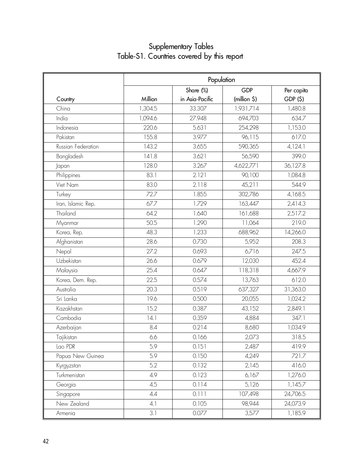|                    | Population |                 |              |            |  |
|--------------------|------------|-----------------|--------------|------------|--|
|                    |            | Share (%)       | <b>GDP</b>   | Per capita |  |
| Country            | Million    | in Asia-Pacific | (million \$) | GDP(S)     |  |
| China              | 1,304.5    | 33.307          | 1,931,714    | 1,480.8    |  |
| India              | 1,094.6    | 27.948          | 694,703      | 634.7      |  |
| Indonesia          | 220.6      | 5.631           | 254,298      | 1,153.0    |  |
| Pakistan           | 155.8      | 3.977           | 96,115       | 617.0      |  |
| Russian Federation | 143.2      | 3.655           | 590,365      | 4,124.1    |  |
| Bangladesh         | 141.8      | 3.621           | 56,590       | 399.0      |  |
| Japan              | 128.0      | 3.267           | 4,622,771    | 36,127.8   |  |
| Philippines        | 83.1       | 2.121           | 90,100       | 1,084.8    |  |
| Viet Nam           | 83.0       | 2.118           | 45,211       | 544.9      |  |
| Turkey             | 72.7       | 1.855           | 302,786      | 4,168.5    |  |
| Iran, Islamic Rep. | 67.7       | 1.729           | 163,447      | 2,414.3    |  |
| Thailand           | 64.2       | 1.640           | 161,688      | 2,517.2    |  |
| Myanmar            | 50.5       | 1.290           | 11,064       | 219.0      |  |
| Korea, Rep.        | 48.3       | 1.233           | 688,962      | 14,266.0   |  |
| Afghanistan        | 28.6       | 0.730           | 5,952        | 208.3      |  |
| Nepal              | 27.2       | 0.693           | 6,716        | 247.5      |  |
| Uzbekistan         | 26.6       | 0.679           | 12,030       | 452.4      |  |
| Malaysia           | 25.4       | 0.647           | 118,318      | 4,667.9    |  |
| Korea, Dem. Rep.   | 22.5       | 0.574           | 13,763       | 612.0      |  |
| Australia          | 20.3       | 0.519           | 637,327      | 31,363.0   |  |
| Sri Lanka          | 19.6       | 0.500           | 20,055       | 1,024.2    |  |
| Kazakhstan         | 15.2       | 0.387           | 43,152       | 2,849.1    |  |
| Cambodia           | 14.1       | 0.359           | 4,884        | 347.1      |  |
| Azerbaijan         | 8.4        | 0.214           | 8,680        | 1,034.9    |  |
| Tajikistan         | 6.6        | 0.166           | 2,073        | 318.5      |  |
| Lao PDR            | 5.9        | 0.151           | 2,487        | 419.9      |  |
| Papua New Guinea   | 5.9        | 0.150           | 4,249        | 721.7      |  |
| Kyrgyzstan         | 5.2        | 0.132           | 2,145        | 416.0      |  |
| Turkmenistan       | 4.9        | 0.123           | 6,167        | 1,276.0    |  |
| Georgia            | 4.5        | 0.114           | 5,126        | 1,145.7    |  |
| Singapore          | 4.4        | 0.111           | 107,498      | 24,706.5   |  |
| New Zealand        | 4.1        | 0.105           | 98,944       | 24,073.9   |  |
| Armenia            | 3.1        | 0.077           | 3,577        | 1,185.9    |  |

# **Supplementary Tables Table-S1. Countries covered by this report**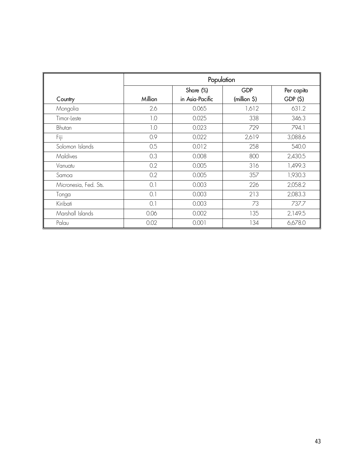|                       | Population |                 |                |            |  |  |
|-----------------------|------------|-----------------|----------------|------------|--|--|
|                       |            | Share (%)       | <b>GDP</b>     | Per capita |  |  |
| Country               | Million    | in Asia-Pacific | (million $$$ ) | GDP(S)     |  |  |
| Mongolia              | 2.6        | 0.065           | 1,612          | 631.2      |  |  |
| Timor-Leste           | 1.0        | 0.025           | 338            | 346.3      |  |  |
| Bhutan                | 1.0        | 0.023           | 729            | 794.1      |  |  |
| Fiji                  | 0.9        | 0.022           | 2,619          | 3,088.6    |  |  |
| Solomon Islands       | 0.5        | 0.012           | 258            | 540.0      |  |  |
| Maldives              | 0.3        | 0.008           | 800            | 2,430.5    |  |  |
| Vanuatu               | 0.2        | 0.005           | 316            | 1,499.3    |  |  |
| Samoa                 | 0.2        | 0.005           | 357            | 1,930.3    |  |  |
| Micronesia, Fed. Sts. | 0.1        | 0.003           | 226            | 2,058.2    |  |  |
| Tonga                 | 0.1        | 0.003           | 213            | 2,083.3    |  |  |
| Kiribati              | 0.1        | 0.003           | 73             | 737.7      |  |  |
| Marshall Islands      | 0.06       | 0.002           | 135            | 2,149.5    |  |  |
| Palau                 | 0.02       | 0.001           | 134            | 6,678.0    |  |  |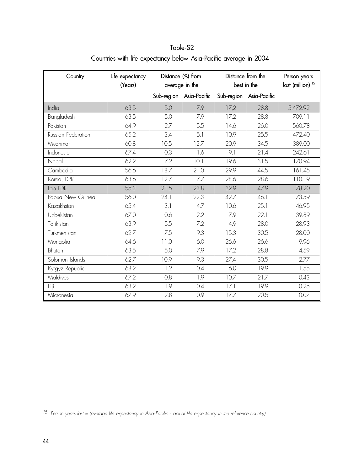| Country            | Life expectancy<br>(Years) | Distance (%) from<br>average in the |              | Distance from the<br>best in the |              | Person years<br>lost (million) <sup>15</sup> |
|--------------------|----------------------------|-------------------------------------|--------------|----------------------------------|--------------|----------------------------------------------|
|                    |                            | Sub-region                          | Asia-Pacific | Sub-region                       | Asia-Pacific |                                              |
| India              | 63.5                       | 5.0                                 | 7.9          | 17,2                             | 28.8         | 5,472.92                                     |
| Bangladesh         | 63.5                       | 5.0                                 | 7.9          | 17.2                             | 28.8         | 709.11                                       |
| Pakistan           | 64.9                       | 2.7                                 | 5.5          | 14.6                             | 26.0         | 560.78                                       |
| Russian Federation | 65.2                       | 3.4                                 | 5.1          | 10.9                             | 25.5         | 472.40                                       |
| Myanmar            | 60.8                       | 10.5                                | 12.7         | 20.9                             | 34.5         | 389.00                                       |
| Indonesia          | 67.4                       | $-0.3$                              | 1.6          | 9.1                              | 21.4         | 242.61                                       |
| Nepal              | 62.2                       | 7.2                                 | 10.1         | 19.6                             | 31.5         | 170.94                                       |
| Cambodia           | 56.6                       | 18.7                                | 21.0         | 29.9                             | 44.5         | 161.45                                       |
| Korea, DPR         | 63.6                       | 12.7                                | 7.7          | 28.6                             | 28.6         | 110.19                                       |
| Lao PDR            | 55.3                       | 21.5                                | 23.8         | 32.9                             | 47.9         | 78.20                                        |
| Papua New Guinea   | 56.0                       | 24.1                                | 22.3         | 42.7                             | 46.1         | 73.59                                        |
| Kazakhstan         | 65.4                       | 3.1                                 | 4.7          | 10.6                             | 25.1         | 46.95                                        |
| Uzbekistan         | 67.0                       | 0.6                                 | 2.2          | 7.9                              | 22.1         | 39.89                                        |
| Tajikistan         | 63.9                       | 5.5                                 | 7.2          | 4.9                              | 28.0         | 28.93                                        |
| Turkmenistan       | 62.7                       | 7.5                                 | 9.3          | 15.3                             | 30.5         | 28.00                                        |
| Mongolia           | 64.6                       | 11.0                                | 6.0          | 26.6                             | 26.6         | 9.96                                         |
| Bhutan             | 63.5                       | 5.0                                 | 7.9          | 17.2                             | 28.8         | 4.59                                         |
| Solomon Islands    | 62.7                       | 10.9                                | 9.3          | 27.4                             | 30.5         | 2.77                                         |
| Kyrgyz Republic    | 68.2                       | $-1.2$                              | 0.4          | 6.0                              | 19.9         | 1.55                                         |
| Maldives           | 67.2                       | $-0.8$                              | 1.9          | 10.7                             | 21.7         | 0.43                                         |
| Fiji               | 68.2                       | 1.9                                 | 0.4          | 17.1                             | 19.9         | 0.25                                         |
| Micronesia         | 67.9                       | 2.8                                 | 0.9          | 17.7                             | 20.5         | 0.07                                         |

**Table-S2 Countries with life expectancy below Asia-Pacific average in 2004**

*15 Person years lost = (average life expectancy in Asia-Pacific - actual life expectancy in the reference country)*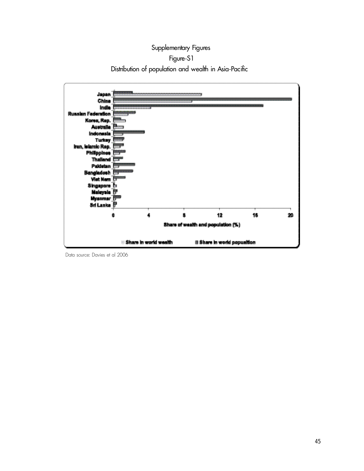# **Supplementary Figures**

# **Figure-S1**

**Distribution of population and wealth in Asia-Pacific**



Data source: Davies et al 2006